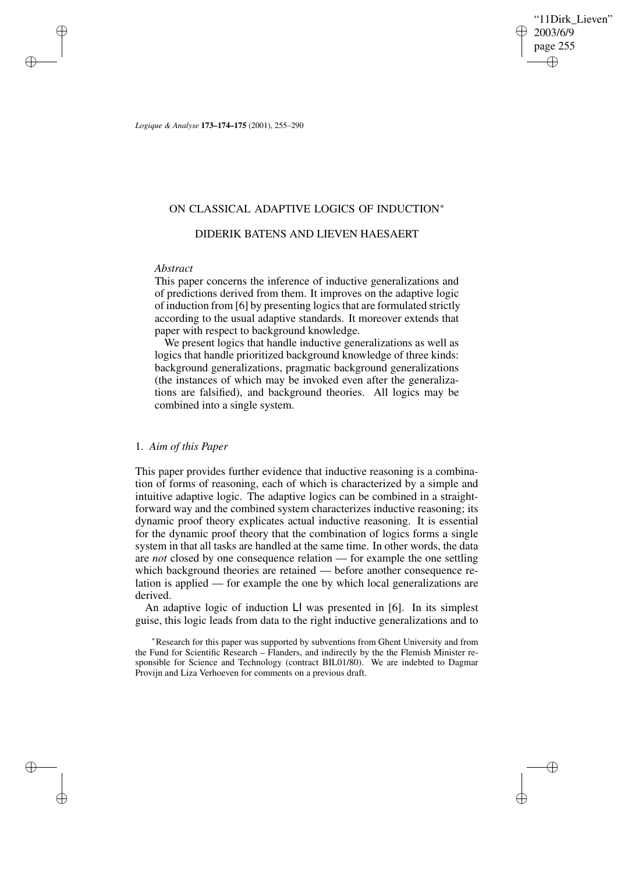'11Dirk Lieven" 2003/6/9 page 255 ✐ ✐

✐

✐

*Logique & Analyse* **173–174–175** (2001), 255–290

## ON CLASSICAL ADAPTIVE LOGICS OF INDUCTION<sup>∗</sup>

# DIDERIK BATENS AND LIEVEN HAESAERT

## *Abstract*

✐

✐

✐

✐

This paper concerns the inference of inductive generalizations and of predictions derived from them. It improves on the adaptive logic of induction from [6] by presenting logicsthat are formulated strictly according to the usual adaptive standards. It moreover extends that paper with respect to background knowledge.

We present logics that handle inductive generalizations as well as logics that handle prioritized background knowledge of three kinds: background generalizations, pragmatic background generalizations (the instances of which may be invoked even after the generalizations are falsified), and background theories. All logics may be combined into a single system.

## 1. *Aim of this Paper*

This paper provides further evidence that inductive reasoning is a combination of forms of reasoning, each of which is characterized by a simple and intuitive adaptive logic. The adaptive logics can be combined in a straightforward way and the combined system characterizes inductive reasoning; its dynamic proof theory explicates actual inductive reasoning. It is essential for the dynamic proof theory that the combination of logics forms a single system in that all tasks are handled at the same time. In other words, the data are *not* closed by one consequence relation — for example the one settling which background theories are retained — before another consequence relation is applied — for example the one by which local generalizations are derived.

An adaptive logic of induction LI was presented in [6]. In its simplest guise, this logic leads from data to the right inductive generalizations and to

<sup>∗</sup>Research for this paper was supported by subventions from Ghent University and from the Fund for Scientific Research – Flanders, and indirectly by the the Flemish Minister responsible for Science and Technology (contract BIL01/80). We are indebted to Dagmar Provijn and Liza Verhoeven for comments on a previous draft.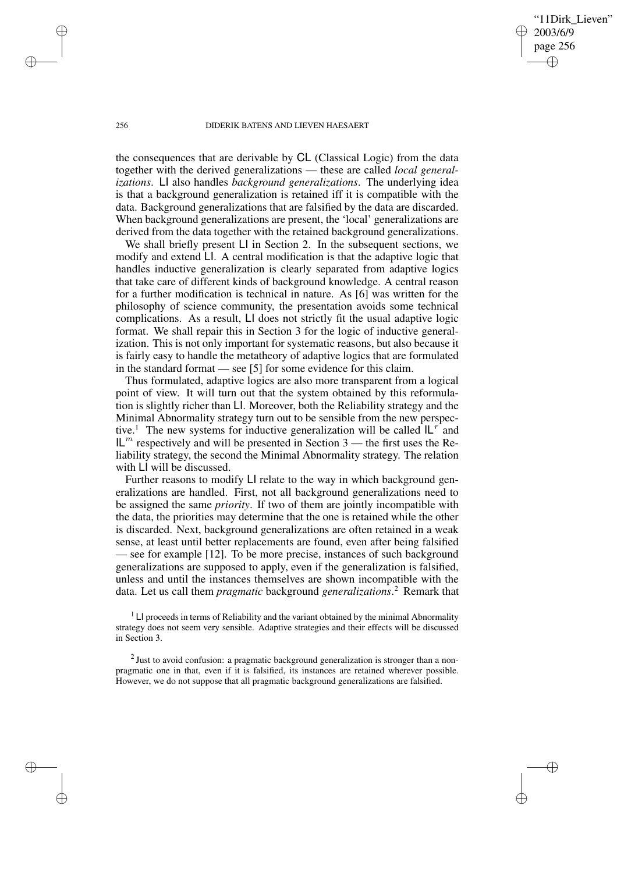'11Dirk Lieven" 2003/6/9 page 256 ✐ ✐

✐

✐

#### 256 DIDERIK BATENS AND LIEVEN HAESAERT

the consequences that are derivable by CL (Classical Logic) from the data together with the derived generalizations — these are called *local generalizations*. LI also handles *background generalizations*. The underlying idea is that a background generalization is retained iff it is compatible with the data. Background generalizations that are falsified by the data are discarded. When background generalizations are present, the 'local' generalizations are derived from the data together with the retained background generalizations.

We shall briefly present LI in Section 2. In the subsequent sections, we modify and extend LI. A central modification is that the adaptive logic that handles inductive generalization is clearly separated from adaptive logics that take care of different kinds of background knowledge. A central reason for a further modification is technical in nature. As [6] was written for the philosophy of science community, the presentation avoids some technical complications. As a result, LI does not strictly fit the usual adaptive logic format. We shall repair this in Section 3 for the logic of inductive generalization. This is not only important for systematic reasons, but also because it is fairly easy to handle the metatheory of adaptive logics that are formulated in the standard format — see [5] for some evidence for this claim.

Thus formulated, adaptive logics are also more transparent from a logical point of view. It will turn out that the system obtained by this reformulation is slightly richer than LI. Moreover, both the Reliability strategy and the Minimal Abnormality strategy turn out to be sensible from the new perspective.<sup>1</sup> The new systems for inductive generalization will be called  $IL^{r}$  and  $IL<sup>m</sup>$  respectively and will be presented in Section 3 — the first uses the Reliability strategy, the second the Minimal Abnormality strategy. The relation with LI will be discussed.

Further reasons to modify LI relate to the way in which background generalizations are handled. First, not all background generalizations need to be assigned the same *priority*. If two of them are jointly incompatible with the data, the priorities may determine that the one is retained while the other is discarded. Next, background generalizations are often retained in a weak sense, at least until better replacements are found, even after being falsified — see for example [12]. To be more precise, instances of such background generalizations are supposed to apply, even if the generalization is falsified, unless and until the instances themselves are shown incompatible with the data. Let us call them *pragmatic* background *generalizations*. <sup>2</sup> Remark that

 $<sup>1</sup>$  LI proceeds in terms of Reliability and the variant obtained by the minimal Abnormality</sup> strategy does not seem very sensible. Adaptive strategies and their effects will be discussed in Section 3.

 $2$  Just to avoid confusion: a pragmatic background generalization is stronger than a nonpragmatic one in that, even if it is falsified, its instances are retained wherever possible. However, we do not suppose that all pragmatic background generalizations are falsified.

✐

✐

✐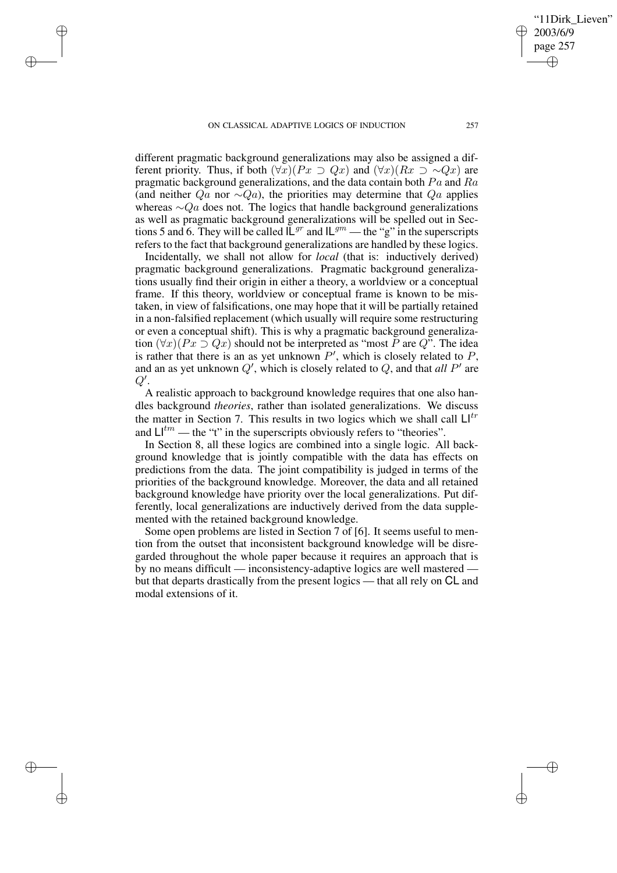✐

✐

✐

different pragmatic background generalizations may also be assigned a different priority. Thus, if both  $(\forall x)(Px \supset Qx)$  and  $(\forall x)(Rx \supset \sim Qx)$  are pragmatic background generalizations, and the data contain both  $Pa$  and  $Ra$ (and neither  $Qa$  nor ∼ $Qa$ ), the priorities may determine that  $Qa$  applies whereas  $\sim Qa$  does not. The logics that handle background generalizations as well as pragmatic background generalizations will be spelled out in Sections 5 and 6. They will be called  $\mathbb{L}^{gr}$  and  $\mathbb{L}^{gm}$  — the "g" in the superscripts refers to the fact that background generalizations are handled by these logics.

Incidentally, we shall not allow for *local* (that is: inductively derived) pragmatic background generalizations. Pragmatic background generalizations usually find their origin in either a theory, a worldview or a conceptual frame. If this theory, worldview or conceptual frame is known to be mistaken, in view of falsifications, one may hope that it will be partially retained in a non-falsified replacement (which usually will require some restructuring or even a conceptual shift). This is why a pragmatic background generalization  $(\forall x)(Px \supset Qx)$  should not be interpreted as "most P are Q". The idea is rather that there is an as yet unknown  $P'$ , which is closely related to  $P$ , and an as yet unknown  $Q'$ , which is closely related to  $Q$ , and that *all*  $P'$  are  $Q^{\prime}.$ 

A realistic approach to background knowledge requires that one also handles background *theories*, rather than isolated generalizations. We discuss the matter in Section 7. This results in two logics which we shall call  $\mathsf{L}^{\dagger r}$ and  $\mathsf{L}^{\dagger m}$  — the "t" in the superscripts obviously refers to "theories".

In Section 8, all these logics are combined into a single logic. All background knowledge that is jointly compatible with the data has effects on predictions from the data. The joint compatibility is judged in terms of the priorities of the background knowledge. Moreover, the data and all retained background knowledge have priority over the local generalizations. Put differently, local generalizations are inductively derived from the data supplemented with the retained background knowledge.

Some open problems are listed in Section 7 of [6]. It seems useful to mention from the outset that inconsistent background knowledge will be disregarded throughout the whole paper because it requires an approach that is by no means difficult — inconsistency-adaptive logics are well mastered but that departs drastically from the present logics — that all rely on CL and modal extensions of it.

'11Dirk Lieven"

2003/6/9 page 257

✐

✐

✐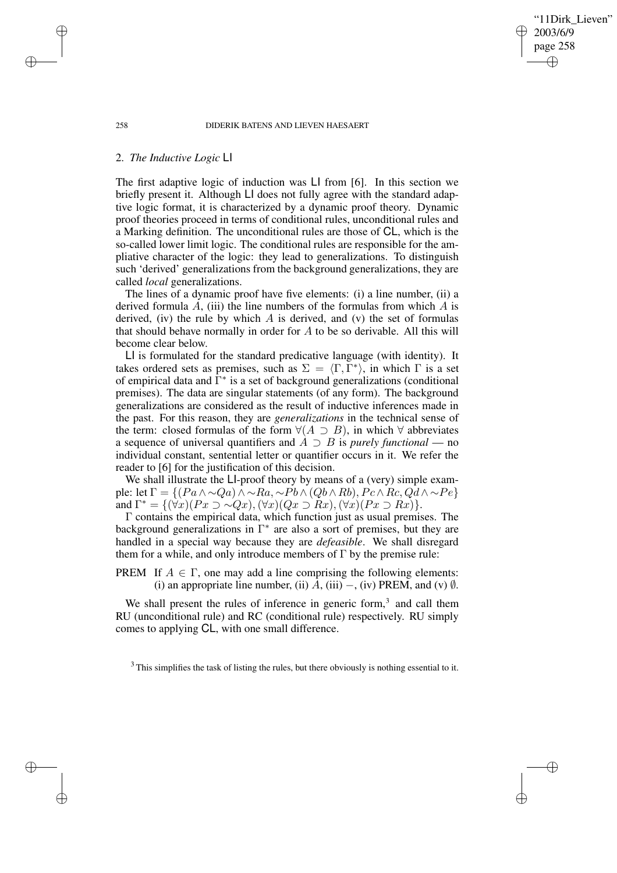'11Dirk Lieven" 2003/6/9 page 258 ✐ ✐

✐

✐

#### 258 DIDERIK BATENS AND LIEVEN HAESAERT

## 2. *The Inductive Logic* LI

The first adaptive logic of induction was LI from [6]. In this section we briefly present it. Although LI does not fully agree with the standard adaptive logic format, it is characterized by a dynamic proof theory. Dynamic proof theories proceed in terms of conditional rules, unconditional rules and a Marking definition. The unconditional rules are those of CL, which is the so-called lower limit logic. The conditional rules are responsible for the ampliative character of the logic: they lead to generalizations. To distinguish such 'derived' generalizations from the background generalizations, they are called *local* generalizations.

The lines of a dynamic proof have five elements: (i) a line number, (ii) a derived formula  $A$ , (iii) the line numbers of the formulas from which  $A$  is derived, (iv) the rule by which  $A$  is derived, and (v) the set of formulas that should behave normally in order for  $A$  to be so derivable. All this will become clear below.

LI is formulated for the standard predicative language (with identity). It takes ordered sets as premises, such as  $\Sigma = \langle \Gamma, \Gamma^* \rangle$ , in which  $\Gamma$  is a set of empirical data and Γ ∗ is a set of background generalizations (conditional premises). The data are singular statements (of any form). The background generalizations are considered as the result of inductive inferences made in the past. For this reason, they are *generalizations* in the technical sense of the term: closed formulas of the form  $\forall (A \supset B)$ , in which  $\forall$  abbreviates a sequence of universal quantifiers and A ⊃ B is *purely functional* — no individual constant, sentential letter or quantifier occurs in it. We refer the reader to [6] for the justification of this decision.

We shall illustrate the LI-proof theory by means of a (very) simple example: let  $\Gamma = \{(Pa \land \sim Qa) \land \sim Ra, \sim Pb \land (Qb \land Rb), Pc \land Rc, Qd \land \sim Pe\}$ and  $\Gamma^* = \{ (\forall x)(Px \supset \sim Qx), (\forall x)(Qx \supset Rx),(\forall x)(Px \supset Rx)\}.$ 

Γ contains the empirical data, which function just as usual premises. The  $\alpha$  background generalizations in  $\Gamma^*$  are also a sort of premises, but they are handled in a special way because they are *defeasible*. We shall disregard them for a while, and only introduce members of  $\Gamma$  by the premise rule:

PREM If  $A \in \Gamma$ , one may add a line comprising the following elements: (i) an appropriate line number, (ii)  $A$ , (iii) –, (iv) PREM, and (v)  $\emptyset$ .

We shall present the rules of inference in generic form,<sup>3</sup> and call them RU (unconditional rule) and RC (conditional rule) respectively. RU simply comes to applying CL, with one small difference.

✐

✐

✐

 $3$  This simplifies the task of listing the rules, but there obviously is nothing essential to it.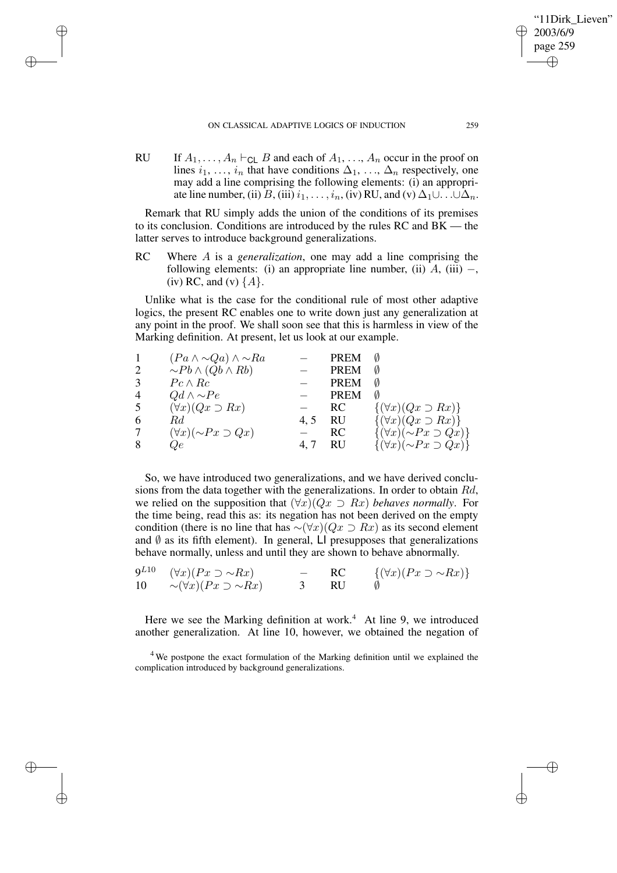#### ON CLASSICAL ADAPTIVE LOGICS OF INDUCTION 259

✐

✐

✐

✐

RU If  $A_1, \ldots, A_n \vdash_{\text{CL}} B$  and each of  $A_1, \ldots, A_n$  occur in the proof on lines  $i_1, \ldots, i_n$  that have conditions  $\Delta_1, \ldots, \Delta_n$  respectively, one may add a line comprising the following elements: (i) an appropriate line number, (ii) B, (iii)  $i_1, \ldots, i_n$ , (iv) RU, and (v)  $\Delta_1 \cup \ldots \cup \Delta_n$ .

Remark that RU simply adds the union of the conditions of its premises to its conclusion. Conditions are introduced by the rules RC and BK — the latter serves to introduce background generalizations.

RC Where A is a *generalization*, one may add a line comprising the following elements: (i) an appropriate line number, (ii)  $A$ , (iii) –, (iv) RC, and (v)  $\{A\}$ .

Unlike what is the case for the conditional rule of most other adaptive logics, the present RC enables one to write down just any generalization at any point in the proof. We shall soon see that this is harmless in view of the Marking definition. At present, let us look at our example.

| $\mathbf{1}$   | $(Pa \wedge \neg Qa) \wedge \neg Ra$ |      | <b>PREM</b> |                                        |
|----------------|--------------------------------------|------|-------------|----------------------------------------|
| 2              | $\sim Pb \wedge (Qb \wedge Rb)$      |      | <b>PREM</b> | Ø                                      |
| 3              | $Pc \wedge Rc$                       |      | <b>PREM</b> | Ø                                      |
| $\overline{4}$ | $Qd \wedge \neg Pe$                  |      | <b>PREM</b> | Ø                                      |
| 5              | $(\forall x)(Qx \supset Rx)$         |      | RC.         | $\{(\forall x)(Qx \supset Rx)\}\$      |
| 6              | Rd.                                  | 4, 5 | <b>RU</b>   | $\{(\forall x)(Qx \supset Rx)\}\$      |
| 7              | $(\forall x)(\sim Px \supset Qx)$    |      | <b>RC</b>   | $\{(\forall x)(\sim Px \supset Qx)\}\$ |
| 8              | Qe                                   | 4, 7 | RU          | $\{(\forall x)(\sim Px \supset Qx)\}\$ |

So, we have introduced two generalizations, and we have derived conclusions from the data together with the generalizations. In order to obtain Rd, we relied on the supposition that  $(\forall x)(Qx \supset Rx)$  *behaves normally*. For the time being, read this as: its negation has not been derived on the empty condition (there is no line that has  $\sim (\forall x)(Qx \supset Rx)$  as its second element and  $\emptyset$  as its fifth element). In general, LI presupposes that generalizations behave normally, unless and until they are shown to behave abnormally.

|    | $9^{L10}$ $(\forall x)(Px \supset \sim Rx)$ | $\sim$ $\sim$ | RC   | $\{(\forall x)(Px \supset \sim Rx)\}\$ |
|----|---------------------------------------------|---------------|------|----------------------------------------|
| 10 | $\sim (\forall x)(Px \supset \sim Rx)$      |               | – RU |                                        |

Here we see the Marking definition at work.<sup>4</sup> At line 9, we introduced another generalization. At line 10, however, we obtained the negation of

'11Dirk Lieven"

2003/6/9 page 259

✐

✐

✐

<sup>&</sup>lt;sup>4</sup> We postpone the exact formulation of the Marking definition until we explained the complication introduced by background generalizations.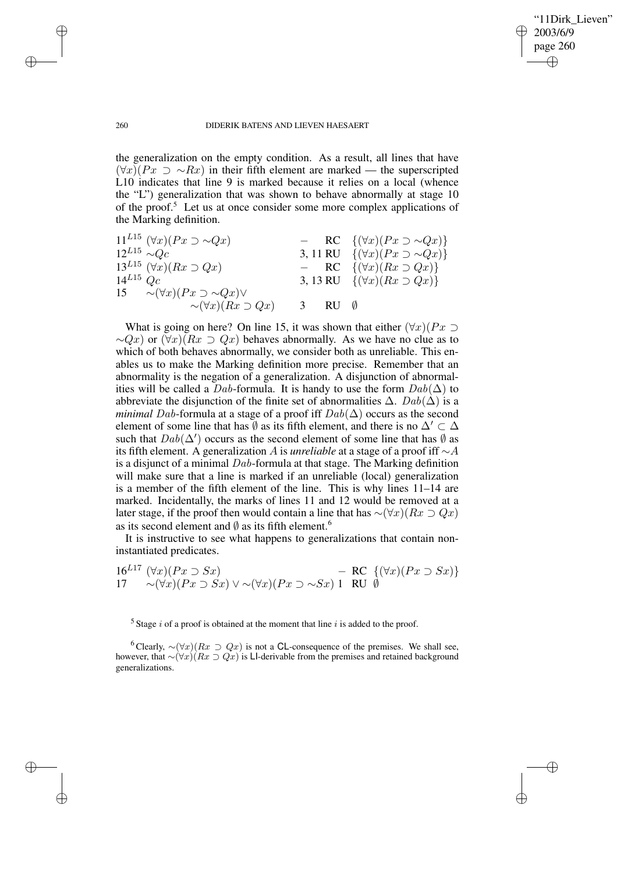✐

#### 260 DIDERIK BATENS AND LIEVEN HAESAERT

the generalization on the empty condition. As a result, all lines that have  $(\forall x)(Px \supset \sim Rx)$  in their fifth element are marked — the superscripted L10 indicates that line 9 is marked because it relies on a local (whence the "L") generalization that was shown to behave abnormally at stage 10 of the proof.<sup>5</sup> Let us at once consider some more complex applications of the Marking definition.

11<sup>L15</sup> 
$$
(\forall x)(Px \supset \sim Qx)
$$
  
\n12<sup>L15</sup>  $\sim Qc$   
\n13<sup>L15</sup>  $(\forall x)(Rx \supset Qx)$   
\n14<sup>L15</sup>  $(\forall x)(Rx \supset Qx)$   
\n14<sup>L15</sup>  $Qc$   
\n15  $\sim (\forall x)(Px \supset \sim Qx) \vee$   
\n16<sup>L15</sup>  $(\forall x)(Px \supset \sim Qx) \vee$   
\n17<sup>L15</sup>  $\sim (\forall x)(Px \supset \sim Qx) \vee$   
\n18<sup>L16</sup>  $(\forall x)(Rx \supset Qx)$   
\n19<sup>L16</sup>  $(\forall x)(Rx \supset Qx)$   
\n20<sup>L16</sup>  $(\forall x)(Rx \supset Qx)$   
\n31<sup>L17</sup>  $(\forall x)(Rx \supset Qx)$ 

What is going on here? On line 15, it was shown that either  $(\forall x)(Px \supset$  $\sim Qx$ ) or  $(\forall x)(Rx \supset Qx)$  behaves abnormally. As we have no clue as to which of both behaves abnormally, we consider both as unreliable. This enables us to make the Marking definition more precise. Remember that an abnormality is the negation of a generalization. A disjunction of abnormalities will be called a Dab-formula. It is handy to use the form  $Dab(\Delta)$  to abbreviate the disjunction of the finite set of abnormalities  $\Delta$ .  $Dab(\Delta)$  is a *minimal Dab*-formula at a stage of a proof iff  $Dab(\Delta)$  occurs as the second element of some line that has  $\emptyset$  as its fifth element, and there is no  $\Delta' \subset \Delta$ such that  $Dab(\Delta')$  occurs as the second element of some line that has  $\overline{\emptyset}$  as its fifth element. A generalization A is *unreliable* at a stage of a proof iff ∼A is a disjunct of a minimal  $Dab$ -formula at that stage. The Marking definition will make sure that a line is marked if an unreliable (local) generalization is a member of the fifth element of the line. This is why lines 11–14 are marked. Incidentally, the marks of lines 11 and 12 would be removed at a later stage, if the proof then would contain a line that has ∼ $(\forall x)(Rx \supset Qx)$ as its second element and  $\emptyset$  as its fifth element.<sup>6</sup>

It is instructive to see what happens to generalizations that contain noninstantiated predicates.

16<sup>L17</sup> 
$$
(\forall x)(Px \supset Sx)
$$
 – RC  $\{(\forall x)(Px \supset Sx)\}$   
17  $\sim (\forall x)(Px \supset Sx) \vee \sim (\forall x)(Px \supset \sim Sx)$  1 RU  $\emptyset$ 

<sup>5</sup> Stage *i* of a proof is obtained at the moment that line *i* is added to the proof.

<sup>6</sup> Clearly,  $\sim (\forall x)(Rx \supset Qx)$  is not a CL-consequence of the premises. We shall see, however, that ∼ $(\forall x)(Rx \supset Qx)$  is LI-derivable from the premises and retained background generalizations.

✐

✐

✐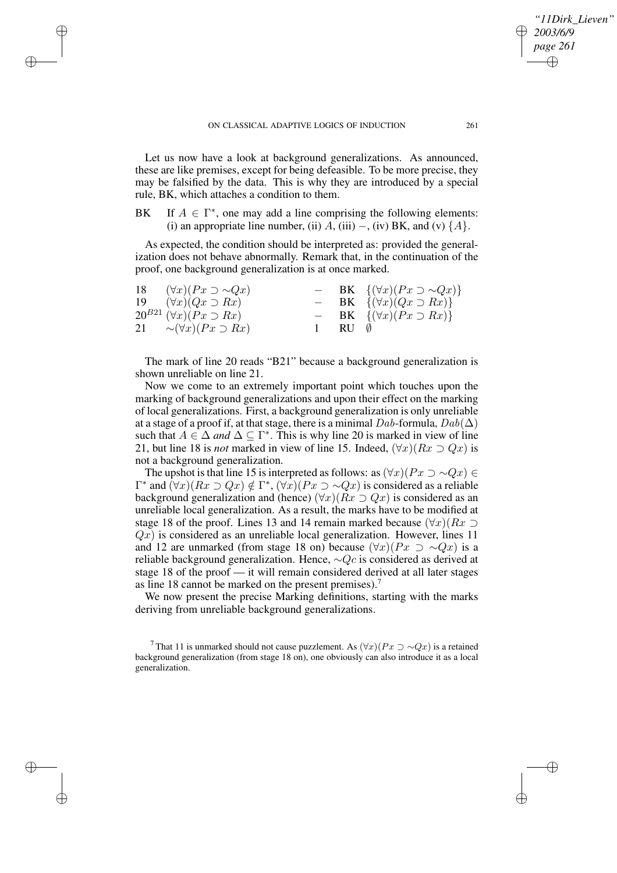✐

✐

✐

Let us now have a look at background generalizations. As announced, these are like premises, except for being defeasible. To be more precise, they may be falsified by the data. This is why they are introduced by a special rule, BK, which attaches a condition to them.

BK If  $A \in \Gamma^*$ , one may add a line comprising the following elements: (i) an appropriate line number, (ii)  $A$ , (iii) –, (iv) BK, and (v)  $\{A\}$ .

As expected, the condition should be interpreted as: provided the generalization does not behave abnormally. Remark that, in the continuation of the proof, one background generalization is at once marked.

| 18 | $(\forall x)(Px \supset \sim Qx)$     |                    | $-$ BK $\{(\forall x)(Px \supset \sim Qx)\}\$ |
|----|---------------------------------------|--------------------|-----------------------------------------------|
|    | 19 $(\forall x)(Qx \supset Rx)$       |                    | $-$ BK $\{(\forall x)(Qx \supset Rx)\}\$      |
|    | $20^{B21} (\forall x)(Px \supset Rx)$ |                    | $-$ BK $\{(\forall x)(Px \supset Rx)\}\$      |
|    | 21 $\sim (\forall x)(Px \supset Rx)$  | $1$ RU $\emptyset$ |                                               |

The mark of line 20 reads "B21" because a background generalization is shown unreliable on line 21.

Now we come to an extremely important point which touches upon the marking of background generalizations and upon their effect on the marking of local generalizations. First, a background generalization is only unreliable at a stage of a proof if, at that stage, there is a minimal  $Dab$ -formula,  $Dab(\Delta)$ such that  $A \in \Delta$  *and*  $\Delta \subseteq \Gamma^*$ . This is why line 20 is marked in view of line 21, but line 18 is *not* marked in view of line 15. Indeed,  $(\forall x)(Rx \supset Qx)$  is not a background generalization.

The upshot is that line 15 is interpreted as follows: as  $(\forall x)(Px \supset \sim Qx) \in$  $\Gamma^*$  and  $(\forall x)(Rx \supset Qx) \notin \Gamma^*, (\forall x)(Px \supset \sim Qx)$  is considered as a reliable background generalization and (hence)  $(\forall x)(Rx \supset Qx)$  is considered as an unreliable local generalization. As a result, the marks have to be modified at stage 18 of the proof. Lines 13 and 14 remain marked because  $(\forall x)(Rx \supset$  $Qx$ ) is considered as an unreliable local generalization. However, lines 11 and 12 are unmarked (from stage 18 on) because  $(\forall x)(Px \supset \sim Qx)$  is a reliable background generalization. Hence, ∼Qc is considered as derived at stage 18 of the proof — it will remain considered derived at all later stages as line 18 cannot be marked on the present premises).<sup>7</sup>

We now present the precise Marking definitions, starting with the marks deriving from unreliable background generalizations.

<sup>7</sup> That 11 is unmarked should not cause puzzlement. As  $(\forall x)(Px \supset \sim Qx)$  is a retained background generalization (from stage 18 on), one obviously can also introduce it as a local generalization.

*"11Dirk\_Lieven"*

*2003/6/9 page 261*

✐

✐

✐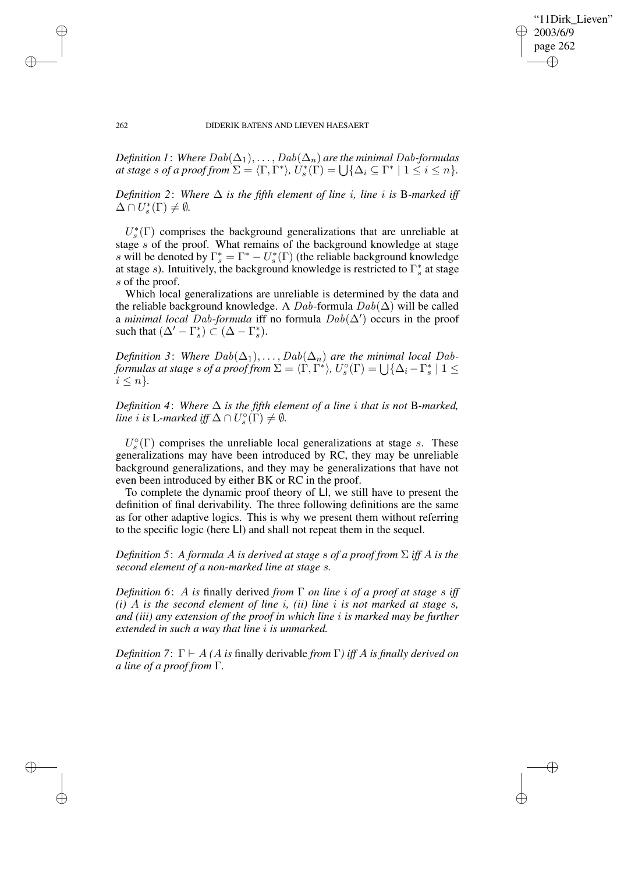✐

262 DIDERIK BATENS AND LIEVEN HAESAERT

*Definition 1*: *Where*  $Dab(\Delta_1), \ldots, Dab(\Delta_n)$  *are the minimal Dab-formulas at stage s of a proof from*  $\Sigma = \langle \Gamma, \Gamma^* \rangle$ ,  $\hat{U}_s^*$  $s(\Gamma) = \bigcup \{ \Delta_i \subseteq \Gamma^* \mid 1 \leq i \leq n \}.$ 

*Definition* 2: *Where*  $\Delta$  *is the fifth element of line i*, *line i is* B-marked *iff*  $\Delta \cap U^*_s$  $s^*(\Gamma) \neq \emptyset$ .

 $U_s^*$  $s(\Gamma)$  comprises the background generalizations that are unreliable at stage s of the proof. What remains of the background knowledge at stage s will be denoted by  $\Gamma_s^* = \Gamma^* - U_s^*$  $s^*(\Gamma)$  (the reliable background knowledge at stage s). Intuitively, the background knowledge is restricted to  $\Gamma_s^*$  $_s^*$  at stage s of the proof.

Which local generalizations are unreliable is determined by the data and the reliable background knowledge. A  $Dab$ -formula  $Dab(\Delta)$  will be called a *minimal local Dab-formula* iff no formula  $Dab(\Delta')$  occurs in the proof such that  $(\Delta' - \Gamma_s^*)$  $\binom{*}{s} \subset (\Delta - \Gamma_s^*)$  $_{s}^{\ast}$ ).

*Definition* 3: *Where*  $Dab(\Delta_1), \ldots, Dab(\Delta_n)$  *are the minimal local Dabformulas at stage s of a proof from*  $\Sigma = \langle \Gamma, \Gamma^* \rangle$ ,  $U_s^{\circ}$  $\mathcal{L}_s^{\circ}(\Gamma) = \bigcup \{ \Delta_i - \Gamma_s^* \}$  $\frac{s}{s}$  | 1  $\leq$  $i \leq n$ .

*Definition* 4: *Where*  $\Delta$  *is the fifth element of a line i that is not* B-marked, *line i* is L-marked iff  $\Delta \cap U_s^{\circ}$  $\mathcal{L}_s^{\circ}(\Gamma) \neq \emptyset$ .

 $U_{s}^{\circ}$  $\mathcal{S}_s^{\circ}(\Gamma)$  comprises the unreliable local generalizations at stage s. These generalizations may have been introduced by RC, they may be unreliable background generalizations, and they may be generalizations that have not even been introduced by either BK or RC in the proof.

To complete the dynamic proof theory of LI, we still have to present the definition of final derivability. The three following definitions are the same as for other adaptive logics. This is why we present them without referring to the specific logic (here LI) and shall not repeat them in the sequel.

*Definition* 5: *A formula A is derived at stage s of a proof from*  $\Sigma$  *iff A is the second element of a non-marked line at stage* s*.*

*Definition 6*: A *is* finally derived *from* Γ *on line* i *of a proof at stage* s *iff (i)* A *is the second element of line* i*, (ii) line* i *is not marked at stage* s*, and (iii) any extension of the proof in which line* i *is marked may be further extended in such a way that line* i *is unmarked.*

*Definition* 7:  $\Gamma \vdash A$  *(A is* finally derivable *from*  $\Gamma$ ) *iff* A *is finally derived on a line of a proof from* Γ*.*

✐

✐

✐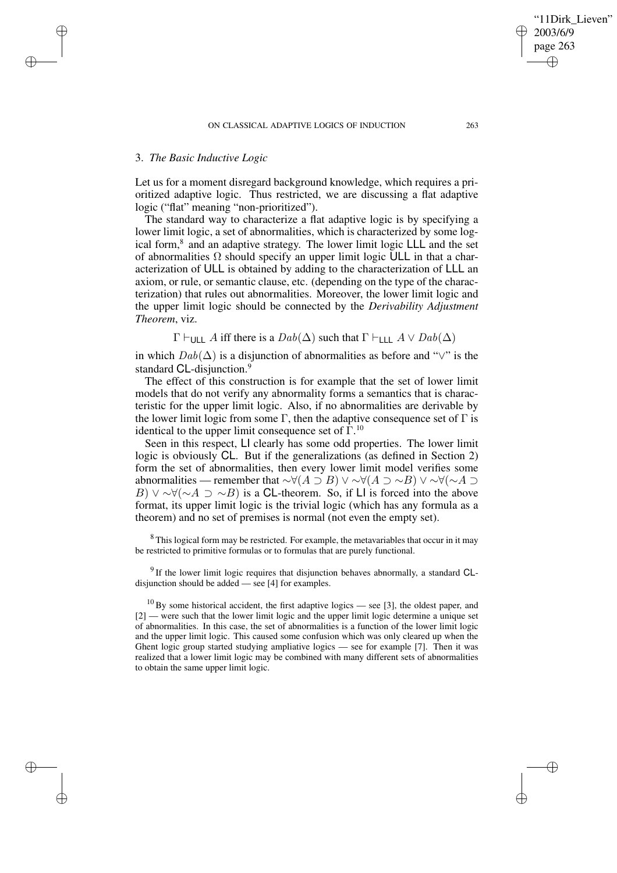# 3. *The Basic Inductive Logic*

✐

✐

✐

✐

Let us for a moment disregard background knowledge, which requires a prioritized adaptive logic. Thus restricted, we are discussing a flat adaptive logic ("flat" meaning "non-prioritized").

The standard way to characterize a flat adaptive logic is by specifying a lower limit logic, a set of abnormalities, which is characterized by some logical form,<sup>8</sup> and an adaptive strategy. The lower limit logic LLL and the set of abnormalities  $\Omega$  should specify an upper limit logic ULL in that a characterization of ULL is obtained by adding to the characterization of LLL an axiom, or rule, or semantic clause, etc. (depending on the type of the characterization) that rules out abnormalities. Moreover, the lower limit logic and the upper limit logic should be connected by the *Derivability Adjustment Theorem*, viz.

 $\Gamma \vdash_{\text{UII}} A$  iff there is a  $Dab(\Delta)$  such that  $\Gamma \vdash_{\text{III}} A \lor Dab(\Delta)$ 

in which  $Dab(\Delta)$  is a disjunction of abnormalities as before and " $\vee$ " is the standard CL-disjunction.<sup>9</sup>

The effect of this construction is for example that the set of lower limit models that do not verify any abnormality forms a semantics that is characteristic for the upper limit logic. Also, if no abnormalities are derivable by the lower limit logic from some  $\Gamma$ , then the adaptive consequence set of  $\Gamma$  is identical to the upper limit consequence set of  $\Gamma^{10}$ .

Seen in this respect, LI clearly has some odd properties. The lower limit logic is obviously CL. But if the generalizations (as defined in Section 2) form the set of abnormalities, then every lower limit model verifies some abnormalities — remember that  $\sim \forall (A \supset B) \vee \sim \forall (A \supset \sim B) \vee \sim \forall (\sim A \supset \sim B)$ B)  $\vee$  ∼∀(∼A  $\supset$  ∼B) is a CL-theorem. So, if LI is forced into the above format, its upper limit logic is the trivial logic (which has any formula as a theorem) and no set of premises is normal (not even the empty set).

<sup>8</sup> This logical form may be restricted. For example, the metavariables that occur in it may be restricted to primitive formulas or to formulas that are purely functional.

<sup>9</sup> If the lower limit logic requires that disjunction behaves abnormally, a standard CLdisjunction should be added — see [4] for examples.

 $10$  By some historical accident, the first adaptive logics — see [3], the oldest paper, and [2] — were such that the lower limit logic and the upper limit logic determine a unique set of abnormalities. In this case, the set of abnormalities is a function of the lower limit logic and the upper limit logic. This caused some confusion which was only cleared up when the Ghent logic group started studying ampliative logics — see for example [7]. Then it was realized that a lower limit logic may be combined with many different sets of abnormalities to obtain the same upper limit logic.

'11Dirk Lieven"

2003/6/9 page 263

✐

✐

✐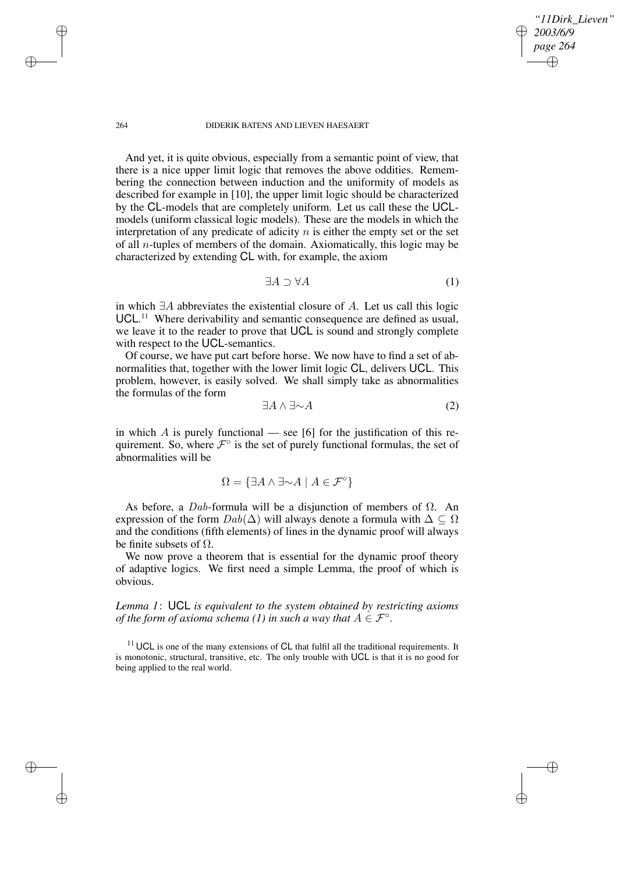#### 264 DIDERIK BATENS AND LIEVEN HAESAERT

And yet, it is quite obvious, especially from a semantic point of view, that there is a nice upper limit logic that removes the above oddities. Remembering the connection between induction and the uniformity of models as described for example in [10], the upper limit logic should be characterized by the CL-models that are completely uniform. Let us call these the UCLmodels (uniform classical logic models). These are the models in which the interpretation of any predicate of adicity  $n$  is either the empty set or the set of all n-tuples of members of the domain. Axiomatically, this logic may be characterized by extending CL with, for example, the axiom

$$
\exists A \supset \forall A \tag{1}
$$

*"11Dirk\_Lieven"*

*2003/6/9 page 264*

✐

✐

✐

✐

in which ∃A abbreviates the existential closure of A. Let us call this logic UCL.<sup>11</sup> Where derivability and semantic consequence are defined as usual, we leave it to the reader to prove that UCL is sound and strongly complete with respect to the UCL-semantics.

Of course, we have put cart before horse. We now have to find a set of abnormalities that, together with the lower limit logic CL, delivers UCL. This problem, however, is easily solved. We shall simply take as abnormalities the formulas of the form

$$
\exists A \land \exists \sim A \tag{2}
$$

in which A is purely functional — see [6] for the justification of this requirement. So, where  $\mathcal{F}^{\circ}$  is the set of purely functional formulas, the set of abnormalities will be

$$
\Omega = \{ \exists A \land \exists \sim A \mid A \in \mathcal{F}^{\circ} \}
$$

As before, a Dab-formula will be a disjunction of members of  $\Omega$ . An expression of the form  $Dab(\Delta)$  will always denote a formula with  $\Delta \subseteq \Omega$ and the conditions (fifth elements) of lines in the dynamic proof will always be finite subsets of  $\Omega$ .

We now prove a theorem that is essential for the dynamic proof theory of adaptive logics. We first need a simple Lemma, the proof of which is obvious.

*Lemma 1*: UCL *is equivalent to the system obtained by restricting axioms of* the form of axioma schema (1) in such a way that  $A \in \mathcal{F}^{\circ}$ .

 $11$  UCL is one of the many extensions of CL that fulfil all the traditional requirements. It is monotonic, structural, transitive, etc. The only trouble with UCL is that it is no good for being applied to the real world.

✐

✐

✐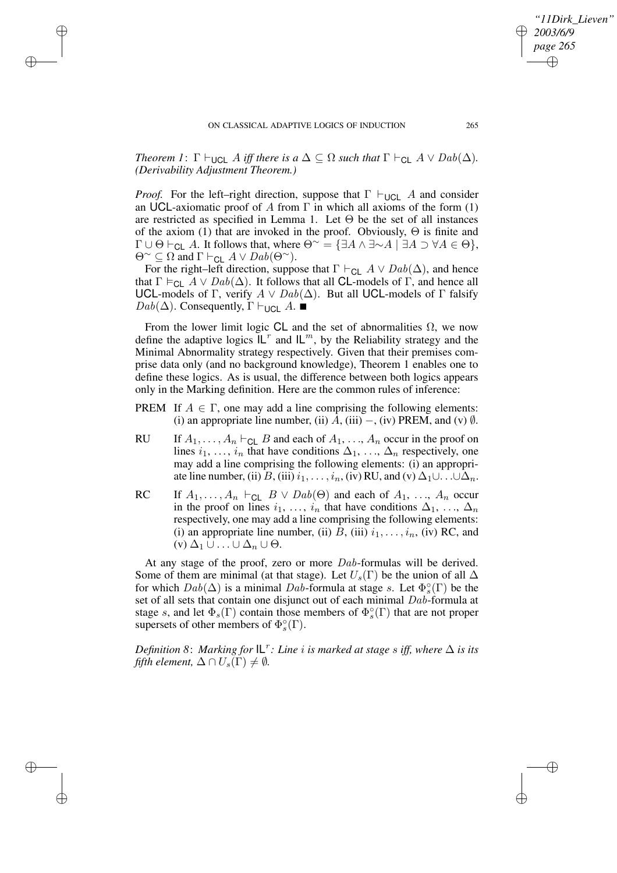✐

✐

✐

*Theorem 1*:  $\Gamma \vdash_{\text{UCL}} A$  *iff there is*  $a \Delta \subseteq \Omega$  *such that*  $\Gamma \vdash_{\text{CL}} A \vee \text{Dab}(\Delta)$ *. (Derivability Adjustment Theorem.)*

*Proof.* For the left–right direction, suppose that  $\Gamma \vdash_{\text{UCL}} A$  and consider an UCL-axiomatic proof of A from  $\Gamma$  in which all axioms of the form (1) are restricted as specified in Lemma 1. Let  $\Theta$  be the set of all instances of the axiom (1) that are invoked in the proof. Obviously, Θ is finite and  $\Gamma \cup \Theta \vdash_{\mathsf{CL}} A$ . It follows that, where  $\Theta^{\sim} = \{\exists A \land \exists \sim A \mid \exists A \supset \forall A \in \Theta\},\$  $\Theta^{\sim} \subseteq \Omega$  and  $\Gamma \vdash_{\mathsf{GL}} A \vee \mathsf{D}ab(\Theta^{\sim}).$ 

For the right–left direction, suppose that  $\Gamma \vdash_{\mathsf{CL}} A \lor \mathsf{D}ab(\Delta)$ , and hence that  $\Gamma \vDash_{\text{CL}} A \vee \text{Dab}(\Delta)$ . It follows that all **CL**-models of  $\Gamma$ , and hence all UCL-models of Γ, verify  $A \vee Dab(\Delta)$ . But all UCL-models of Γ falsify  $Dab(\Delta)$ . Consequently,  $\Gamma \vdash_{\mathsf{UCL}} A$ .

From the lower limit logic CL and the set of abnormalities  $\Omega$ , we now define the adaptive logics  $\mathsf{IL}^r$  and  $\mathsf{IL}^m$ , by the Reliability strategy and the Minimal Abnormality strategy respectively. Given that their premises comprise data only (and no background knowledge), Theorem 1 enables one to define these logics. As is usual, the difference between both logics appears only in the Marking definition. Here are the common rules of inference:

- PREM If  $A \in \Gamma$ , one may add a line comprising the following elements: (i) an appropriate line number, (ii)  $A$ , (iii) –, (iv) PREM, and (v)  $\emptyset$ .
- RU If  $A_1, \ldots, A_n \vdash_{\mathsf{CL}} B$  and each of  $A_1, \ldots, A_n$  occur in the proof on lines  $i_1, \ldots, i_n$  that have conditions  $\Delta_1, \ldots, \Delta_n$  respectively, one may add a line comprising the following elements: (i) an appropriate line number, (ii)  $B$ , (iii)  $i_1, \ldots, i_n$ , (iv) RU, and (v)  $\Delta_1 \cup \ldots \cup \Delta_n$ .
- RC If  $A_1, \ldots, A_n \vdash_{\text{CL}} B \lor \text{D}ab(\Theta)$  and each of  $A_1, \ldots, A_n$  occur in the proof on lines  $i_1, \ldots, i_n$  that have conditions  $\Delta_1, \ldots, \Delta_n$ respectively, one may add a line comprising the following elements: (i) an appropriate line number, (ii)  $B$ , (iii)  $i_1, \ldots, i_n$ , (iv) RC, and  $(v)$   $\Delta_1 \cup ... \cup \Delta_n \cup \Theta$ .

At any stage of the proof, zero or more Dab-formulas will be derived. Some of them are minimal (at that stage). Let  $U_s(\Gamma)$  be the union of all  $\Delta$ for which  $Dab(\Delta)$  is a minimal Dab-formula at stage s. Let  $\Phi_s^{\circ}$  $_{s}^{\circ}(\Gamma)$  be the set of all sets that contain one disjunct out of each minimal Dab-formula at stage s, and let  $\Phi_s(\Gamma)$  contain those members of  $\Phi_s^{\circ}$  $\binom{\circ}{s}(\Gamma)$  that are not proper supersets of other members of  $\Phi_s^{\circ}$  $_s^\circ(\Gamma).$ 

*Definition* 8: *Marking for*  $|L^r:$  *Line i is marked at stage s iff, where*  $\Delta$  *is its fifth element,*  $\Delta \cap U_s(\Gamma) \neq \emptyset$ .

*"11Dirk\_Lieven"*

*2003/6/9 page 265*

✐

✐

✐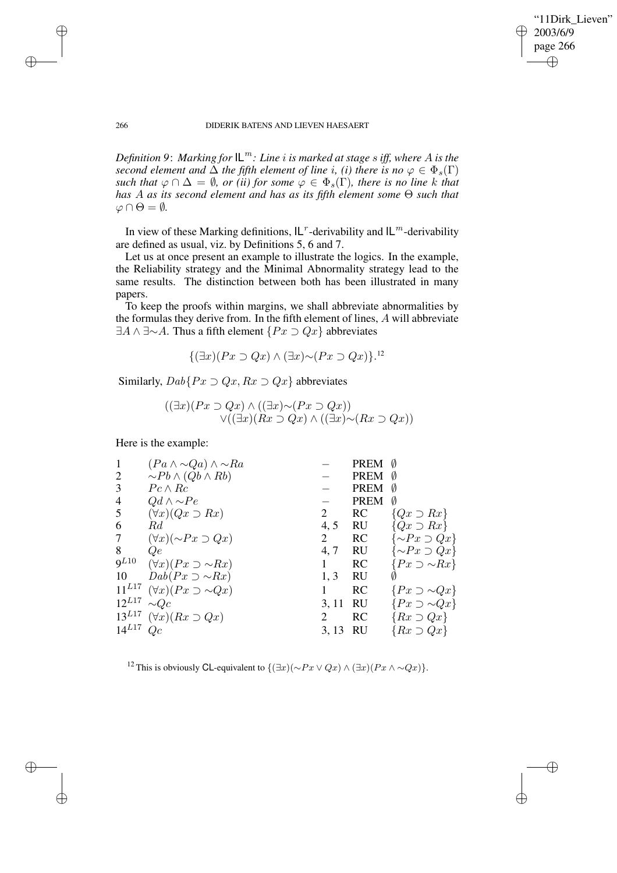"11Dirk Lieven" 2003/6/9 page 266 ✐ ✐

✐

✐

#### 266 DIDERIK BATENS AND LIEVEN HAESAERT

*Definition* 9: *Marking for*  $IL^m$ : *Line i is marked at stage s iff, where A is the second element and*  $\Delta$  *the fifth element of line i, (i) there is no*  $\varphi \in \Phi_s(\Gamma)$ *such that*  $\varphi \cap \Delta = \emptyset$ , *or (ii) for some*  $\varphi \in \Phi_s(\Gamma)$ *, there is no line k that has* A *as its second element and has as its fifth element some* Θ *such that*  $\varphi \cap \Theta = \emptyset$ .

In view of these Marking definitions,  $|L^r$ -derivability and  $|L^m$ -derivability are defined as usual, viz. by Definitions 5, 6 and 7.

Let us at once present an example to illustrate the logics. In the example, the Reliability strategy and the Minimal Abnormality strategy lead to the same results. The distinction between both has been illustrated in many papers.

To keep the proofs within margins, we shall abbreviate abnormalities by the formulas they derive from. In the fifth element of lines, A will abbreviate  $\exists A \land \exists \sim A$ . Thus a fifth element  $\{Px \supset Qx\}$  abbreviates

$$
\{(\exists x)(Px \supset Qx) \land (\exists x) \sim (Px \supset Qx)\}.^{12}
$$

Similarly,  $Dab\{Px \supset Qx, Rx \supset Qx\}$  abbreviates

$$
((\exists x)(Px \supset Qx) \land ((\exists x) \sim (Px \supset Qx))\lor ((\exists x)(Rx \supset Qx) \land ((\exists x) \sim (Rx \supset Qx))
$$

Here is the example:

| $\mathbf{1}$   | $(Pa \wedge \sim Qa) \wedge \sim Ra$ |       | <b>PREM</b> | Ø                          |
|----------------|--------------------------------------|-------|-------------|----------------------------|
| $\overline{2}$ | $\sim Pb \wedge (Qb \wedge Rb)$      |       | <b>PREM</b> |                            |
| 3              | $Pc \wedge Rc$                       |       | <b>PREM</b> | Ø                          |
| $\overline{4}$ | $Qd \wedge \sim Pe$                  |       | <b>PREM</b> | Ø                          |
| 5              | $(\forall x)(Qx \supset Rx)$         | 2     | RC          | $\{Qx \supset Rx\}$        |
| 6              | Rd                                   | 4, 5  | <b>RU</b>   | ${Qx \supset Rx}$          |
| 7              | $(\forall x)(\sim Px \supset Qx)$    | 2     | <b>RC</b>   | $\{\sim Px \supset Qx\}$   |
| 8              | Qе                                   | 4, 7  | RU          | $\{\sim P x \supset Q x\}$ |
| $9^{L10}$      | $(\forall x)(Px \supset \sim Rx)$    |       | <b>RC</b>   | $\{Px \supset \sim Rx\}$   |
| 10             | $Dab(Px \supset \sim Rx)$            | 1, 3  | RU          |                            |
| $11^{L17}$     | $(\forall x)(Px \supset \sim Qx)$    |       | RC          | $\{Px \supset \sim Qx\}$   |
| $12^{L17}$     | $\sim Qc$                            | 3, 11 | <b>RU</b>   | $\{Px \supset \sim Qx\}$   |
| $13^{L17}$     | $(\forall x)(Rx \supset Qx)$         |       | <b>RC</b>   | $\{Rx \supset Qx\}$        |
| $14^{L17}$     | Qc                                   | 3, 13 | -RU         | $\{Rx \supset Qx\}$        |
|                |                                      |       |             |                            |

<sup>12</sup> This is obviously CL-equivalent to  $\{(\exists x)(\sim Px\vee Qx)\wedge (\exists x)(Px\wedge \sim Qx)\}.$ 

✐

✐

✐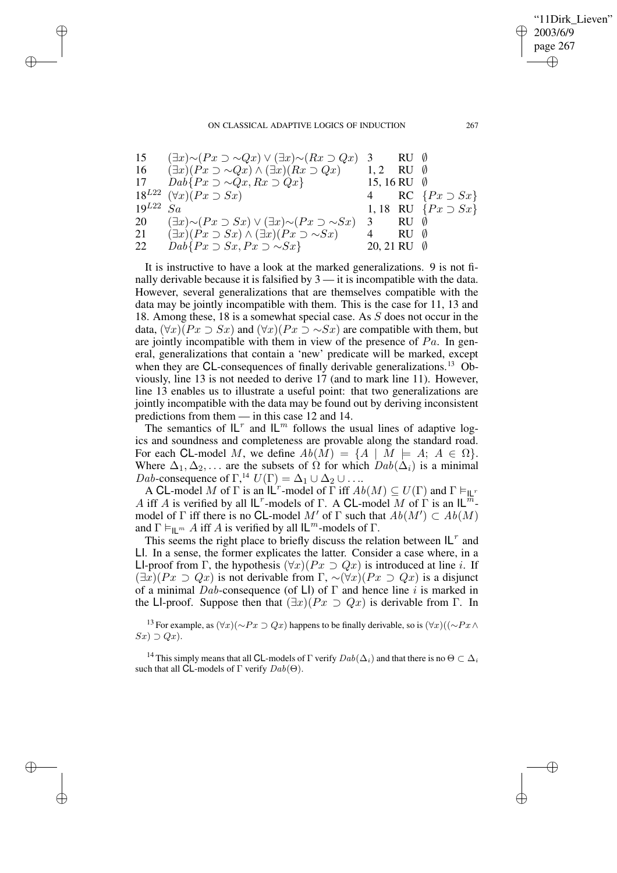✐

#### ON CLASSICAL ADAPTIVE LOGICS OF INDUCTION 267

✐

✐

✐

✐

| 15            | $(\exists x) \sim (Px \supset \sim Qx) \vee (\exists x) \sim (Rx \supset Qx)$ 3 |                       | $RU \ \ \emptyset$ |                              |
|---------------|---------------------------------------------------------------------------------|-----------------------|--------------------|------------------------------|
| 16            | $(\exists x)(Px \supset \sim Qx) \wedge (\exists x)(Rx \supset Qx)$             | 1.2                   | RU-                |                              |
| 17            | $Dab\{Px \supset \sim Qx, Rx \supset Qx\}$                                      | 15, 16 RU $\emptyset$ |                    |                              |
|               | $18^{L22}$ $(\forall x)(Px \supset Sx)$                                         |                       |                    | RC $\{Px \supset Sx\}$       |
| $19^{L22}$ Sa |                                                                                 |                       |                    | 1, 18 RU $\{Px \supset Sx\}$ |
| 20            | $(\exists x) \sim (Px \supset Sx) \vee (\exists x) \sim (Px \supset \sim Sx)$   | 3                     | RU 0               |                              |
| 21            | $(\exists x)(Px \supset Sx) \wedge (\exists x)(Px \supset \sim Sx)$             |                       | $RU$ $\emptyset$   |                              |
| 22            | $Dab\{Px \supset Sx, Px \supset \sim Sx\}$                                      | 20, 21 RU $\emptyset$ |                    |                              |

It is instructive to have a look at the marked generalizations. 9 is not finally derivable because it is falsified by 3 — it is incompatible with the data. However, several generalizations that are themselves compatible with the data may be jointly incompatible with them. This is the case for 11, 13 and 18. Among these, 18 is a somewhat special case. As S does not occur in the data,  $(\forall x)(Px \supset Sx)$  and  $(\forall x)(Px \supset \sim Sx)$  are compatible with them, but are jointly incompatible with them in view of the presence of  $Pa$ . In general, generalizations that contain a 'new' predicate will be marked, except when they are CL-consequences of finally derivable generalizations.<sup>13</sup> Obviously, line 13 is not needed to derive 17 (and to mark line 11). However, line 13 enables us to illustrate a useful point: that two generalizations are jointly incompatible with the data may be found out by deriving inconsistent predictions from them — in this case 12 and 14.

The semantics of  $L^r$  and  $L^m$  follows the usual lines of adaptive logics and soundness and completeness are provable along the standard road. For each CL-model M, we define  $Ab(M) = \{A \mid M \models A; A \in \Omega\}.$ Where  $\Delta_1, \Delta_2, \ldots$  are the subsets of  $\Omega$  for which  $Dab(\Delta_i)$  is a minimal *Dab*-consequence of  $\Gamma$ <sup>14</sup>,  $U(\Gamma) = \Delta_1 \cup \Delta_2 \cup ...$ 

A CL-model M of  $\Gamma$  is an  $\mathsf{IL}^r$ -model of  $\Gamma$  iff  $Ab(M) \subseteq U(\Gamma)$  and  $\Gamma \vDash_{\mathsf{IL}^r}$ A iff A is verified by all  $L^r$ -models of  $\Gamma$ . A CL-model  $\overline{M}$  of  $\Gamma$  is an  $L^{\overline{m}}$ model of  $\Gamma$  iff there is no CL-model M' of  $\Gamma$  such that  $Ab(M') \subset Ab(M)$ and  $\Gamma \vDash_{\mathsf{II}^m} A$  iff A is verified by all  $\mathsf{IL}^m$ -models of  $\Gamma$ .

This seems the right place to briefly discuss the relation between  $|L^r|$  and LI. In a sense, the former explicates the latter. Consider a case where, in a LI-proof from Γ, the hypothesis  $(\forall x)(Px \supset Qx)$  is introduced at line *i*. If  $(\exists x)(Px \supset Qx)$  is not derivable from  $\Gamma$ ,  $\sim (\forall x)(Px \supset Qx)$  is a disjunct of a minimal  $Dab$ -consequence (of LI) of  $\Gamma$  and hence line i is marked in the LI-proof. Suppose then that  $(\exists x)(Px \supset Qx)$  is derivable from Γ. In

<sup>13</sup> For example, as  $(\forall x)(\sim Px \supset Qx)$  happens to be finally derivable, so is  $(\forall x)((\sim Px \land$  $Sx) \supset Qx$ ).

<sup>14</sup> This simply means that all CL-models of Γ verify  $Dab(\Delta_i)$  and that there is no  $\Theta \subset \Delta_i$ such that all CL-models of Γ verify  $Dab(\Theta)$ .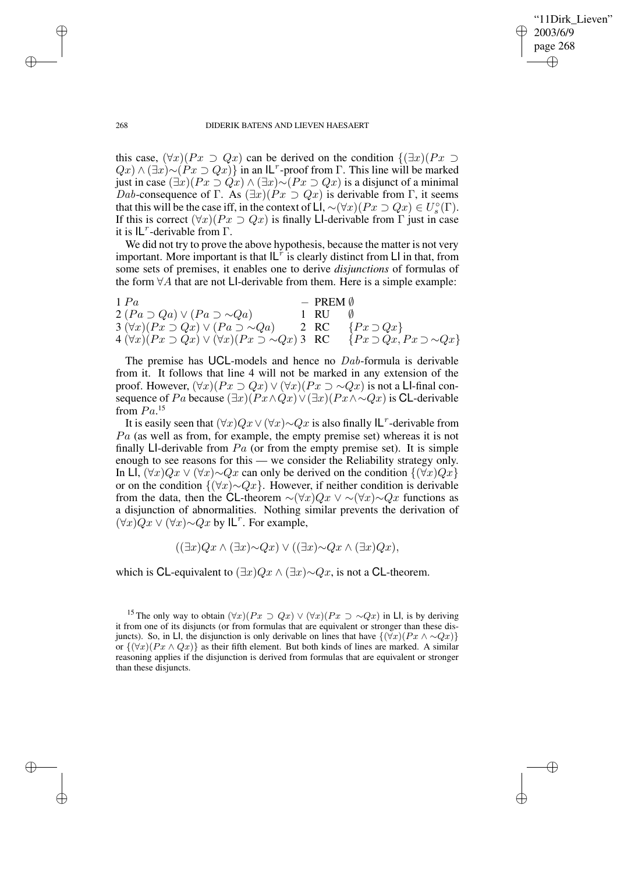✐

### 268 DIDERIK BATENS AND LIEVEN HAESAERT

this case,  $(\forall x)(Px \supset Qx)$  can be derived on the condition  $\{(\exists x)(Px \supset Qx)$  $Q(x) \wedge (\exists x) \sim (Px \supset Qx)$  in an IL<sup>r</sup>-proof from Γ. This line will be marked just in case  $(\exists x)(Px \supset Qx) \wedge (\exists x) \sim (Px \supset Qx)$  is a disjunct of a minimal Dab-consequence of Γ. As  $(\exists x)(Px \supset Qx)$  is derivable from Γ, it seems that this will be the case iff, in the context of LI,  $\sim (\forall x)(Px \supset Qx) \in U_s^{\circ}$  $\int_s^{\circ}(\Gamma).$ If this is correct  $(\forall x)(Px \supset Qx)$  is finally LI-derivable from  $\Gamma$  just in case it is  $IL^r$ -derivable from  $\Gamma$ .

We did not try to prove the above hypothesis, because the matter is not very important. More important is that  $|L^{\dot{r}}|$  is clearly distinct from LI in that, from some sets of premises, it enables one to derive *disjunctions* of formulas of the form  $\forall A$  that are not LI-derivable from them. Here is a simple example:

| 1 Pa                                                                     | $-$ PREM $\emptyset$ |                                         |
|--------------------------------------------------------------------------|----------------------|-----------------------------------------|
| $2 (Pa \supset Qa) \vee (Pa \supset \sim Qa)$                            | 1 RU                 |                                         |
| $3 \left( \forall x \right) (Px \supset Qx) \vee (Pa \supset \sim Qa)$   | 2 RC                 | $\{Px \supset Qx\}$                     |
| 4 $(\forall x)(Px \supset Qx) \vee (\forall x)(Px \supset \sim Qx)$ 3 RC |                      | $\{Px \supset Qx, Px \supset \sim Qx\}$ |

The premise has UCL-models and hence no *Dab*-formula is derivable from it. It follows that line 4 will not be marked in any extension of the proof. However,  $(\forall x)(Px \supset Qx) \vee (\forall x)(Px \supset \sim Qx)$  is not a LI-final consequence of Pa because  $(\exists x)(Px \land Qx) \lor (\exists x)(Px \land \sim Qx)$  is CL-derivable from  $Pa$ <sup>15</sup>

It is easily seen that  $(\forall x)Qx \lor (\forall x) \sim Qx$  is also finally  $|L^r$ -derivable from  $Pa$  (as well as from, for example, the empty premise set) whereas it is not finally LI-derivable from  $Pa$  (or from the empty premise set). It is simple enough to see reasons for this — we consider the Reliability strategy only. In LI,  $(\forall x)Qx \lor (\forall x) \sim Qx$  can only be derived on the condition  $\{(\forall x)Qx\}$ or on the condition  $\{(\forall x) \sim Qx\}$ . However, if neither condition is derivable from the data, then the CL-theorem  $\sim (\forall x)Qx \vee \sim (\forall x)\sim Qx$  functions as a disjunction of abnormalities. Nothing similar prevents the derivation of  $(\forall x)Qx \lor (\forall x) \sim Qx$  by  $\mathsf{IL}^r$ . For example,

$$
((\exists x)Qx \land (\exists x) \sim Qx) \lor ((\exists x) \sim Qx \land (\exists x)Qx),
$$

which is CL-equivalent to  $(\exists x)Qx \land (\exists x) \sim Qx$ , is not a CL-theorem.

✐

✐

✐

<sup>&</sup>lt;sup>15</sup> The only way to obtain  $(\forall x)(Px \supset Qx) \vee (\forall x)(Px \supset \sim Qx)$  in LI, is by deriving it from one of its disjuncts (or from formulas that are equivalent or stronger than these disjuncts). So, in LI, the disjunction is only derivable on lines that have  $\{(\forall x)(Px \land \sim Qx)\}\$ or  $\{(\forall x)(Px \land Qx)\}\$ as their fifth element. But both kinds of lines are marked. A similar reasoning applies if the disjunction is derived from formulas that are equivalent or stronger than these disjuncts.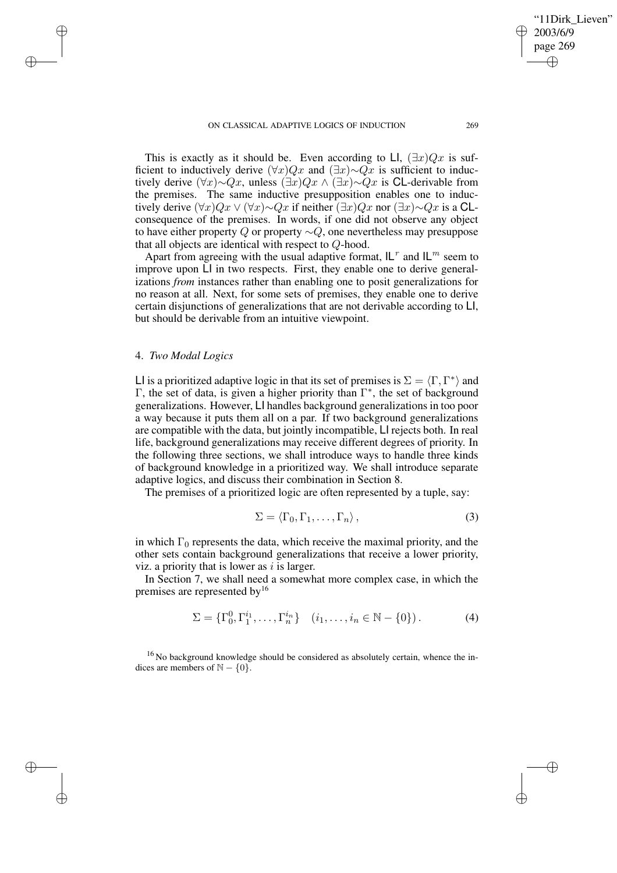This is exactly as it should be. Even according to LI,  $(\exists x)Qx$  is sufficient to inductively derive  $(\forall x)Qx$  and  $(\exists x) \sim Qx$  is sufficient to inductively derive  $(\forall x) \sim Qx$ , unless  $(\exists x)Qx \wedge (\exists x) \sim Qx$  is CL-derivable from the premises. The same inductive presupposition enables one to inductively derive  $(\forall x)Qx \vee (\forall x) \sim Qx$  if neither  $(\exists x)Qx$  nor  $(\exists x) \sim Qx$  is a CLconsequence of the premises. In words, if one did not observe any object to have either property  $Q$  or property  $\sim Q$ , one nevertheless may presuppose that all objects are identical with respect to Q-hood.

Apart from agreeing with the usual adaptive format,  $|L^r|$  and  $|L^m|$  seem to improve upon LI in two respects. First, they enable one to derive generalizations *from* instances rather than enabling one to posit generalizations for no reason at all. Next, for some sets of premises, they enable one to derive certain disjunctions of generalizations that are not derivable according to LI, but should be derivable from an intuitive viewpoint.

# 4. *Two Modal Logics*

✐

✐

✐

✐

LI is a prioritized adaptive logic in that its set of premises is  $\Sigma = \langle \Gamma, \Gamma^* \rangle$  and Γ, the set of data, is given a higher priority than  $Γ^*$ , the set of background generalizations. However, LI handles background generalizations in too poor a way because it puts them all on a par. If two background generalizations are compatible with the data, but jointly incompatible, LI rejects both. In real life, background generalizations may receive different degrees of priority. In the following three sections, we shall introduce ways to handle three kinds of background knowledge in a prioritized way. We shall introduce separate adaptive logics, and discuss their combination in Section 8.

The premises of a prioritized logic are often represented by a tuple, say:

$$
\Sigma = \langle \Gamma_0, \Gamma_1, \dots, \Gamma_n \rangle, \tag{3}
$$

in which  $\Gamma_0$  represents the data, which receive the maximal priority, and the other sets contain background generalizations that receive a lower priority, viz. a priority that is lower as  $i$  is larger.

In Section 7, we shall need a somewhat more complex case, in which the premises are represented by<sup>16</sup>

$$
\Sigma = \{\Gamma_0^0, \Gamma_1^{i_1}, \dots, \Gamma_n^{i_n}\} \quad (i_1, \dots, i_n \in \mathbb{N} - \{0\}).
$$
 (4)

<sup>16</sup> No background knowledge should be considered as absolutely certain, whence the indices are members of  $N - \{0\}$ .

'11Dirk Lieven"

2003/6/9 page 269

✐

✐

✐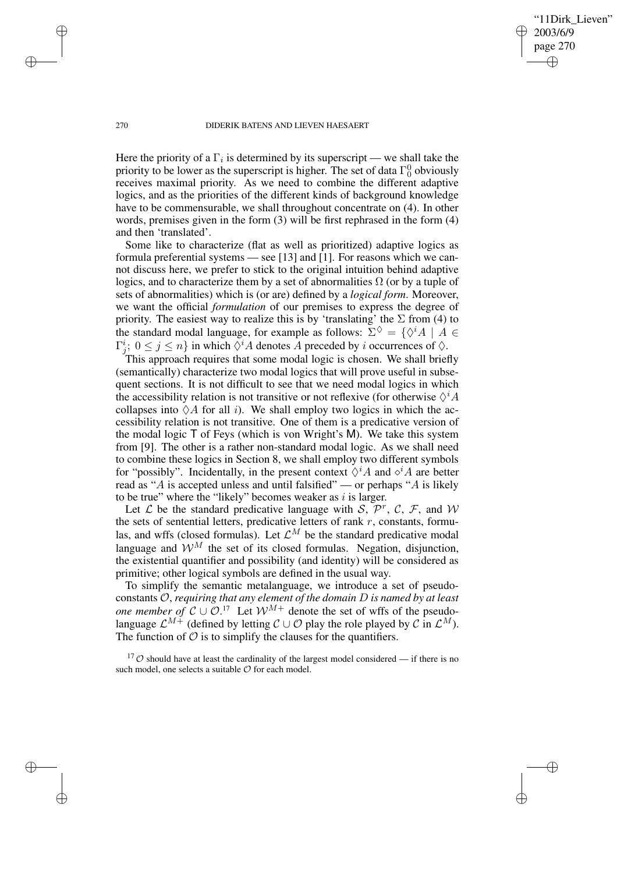'11Dirk Lieven" 2003/6/9 page 270 ✐ ✐

✐

✐

#### 270 DIDERIK BATENS AND LIEVEN HAESAERT

Here the priority of a  $\Gamma_i$  is determined by its superscript — we shall take the priority to be lower as the superscript is higher. The set of data  $\Gamma_0^0$  obviously receives maximal priority. As we need to combine the different adaptive logics, and as the priorities of the different kinds of background knowledge have to be commensurable, we shall throughout concentrate on (4). In other words, premises given in the form (3) will be first rephrased in the form (4) and then 'translated'.

Some like to characterize (flat as well as prioritized) adaptive logics as formula preferential systems — see [13] and [1]. For reasons which we cannot discuss here, we prefer to stick to the original intuition behind adaptive logics, and to characterize them by a set of abnormalities  $\Omega$  (or by a tuple of sets of abnormalities) which is (or are) defined by a *logical form*. Moreover, we want the official *formulation* of our premises to express the degree of priority. The easiest way to realize this is by 'translating' the  $\Sigma$  from (4) to the standard modal language, for example as follows:  $\Sigma^{\diamondsuit} = \{ \diamond^i A \mid A \in \mathbb{R} \}$  $\Gamma_j^i$ ;  $0 \le j \le n$ } in which  $\Diamond^i A$  denotes A preceded by i occurrences of  $\Diamond$ .

This approach requires that some modal logic is chosen. We shall briefly (semantically) characterize two modal logics that will prove useful in subsequent sections. It is not difficult to see that we need modal logics in which the accessibility relation is not transitive or not reflexive (for otherwise  $\Diamond^i A$ collapses into  $\Diamond A$  for all *i*). We shall employ two logics in which the accessibility relation is not transitive. One of them is a predicative version of the modal logic T of Feys (which is von Wright's M). We take this system from [9]. The other is a rather non-standard modal logic. As we shall need to combine these logics in Section 8, we shall employ two different symbols for "possibly". Incidentally, in the present context  $\Diamond^i A$  and  $\Diamond^i A$  are better read as "A is accepted unless and until falsified" — or perhaps "A is likely to be true" where the "likely" becomes weaker as  $i$  is larger.

Let L be the standard predicative language with S,  $\mathcal{P}^r$ , C, F, and W the sets of sentential letters, predicative letters of rank  $r$ , constants, formulas, and wffs (closed formulas). Let  $\mathcal{L}^M$  be the standard predicative modal language and  $\mathcal{W}^M$  the set of its closed formulas. Negation, disjunction, the existential quantifier and possibility (and identity) will be considered as primitive; other logical symbols are defined in the usual way.

To simplify the semantic metalanguage, we introduce a set of pseudoconstants O, *requiring that any element of the domain* D *is named by at least one member of*  $C \cup \mathcal{O}$ .<sup>17</sup> Let  $\mathcal{W}^{M+}$  denote the set of wffs of the pseudolanguage  $\mathcal{L}^{M+}$  (defined by letting  $\mathcal{C} \cup \mathcal{O}$  play the role played by  $\mathcal{C}$  in  $\mathcal{L}^M$ ). The function of  $\mathcal O$  is to simplify the clauses for the quantifiers.

 $17\degree$  Should have at least the cardinality of the largest model considered — if there is no such model, one selects a suitable  $O$  for each model.

✐

✐

✐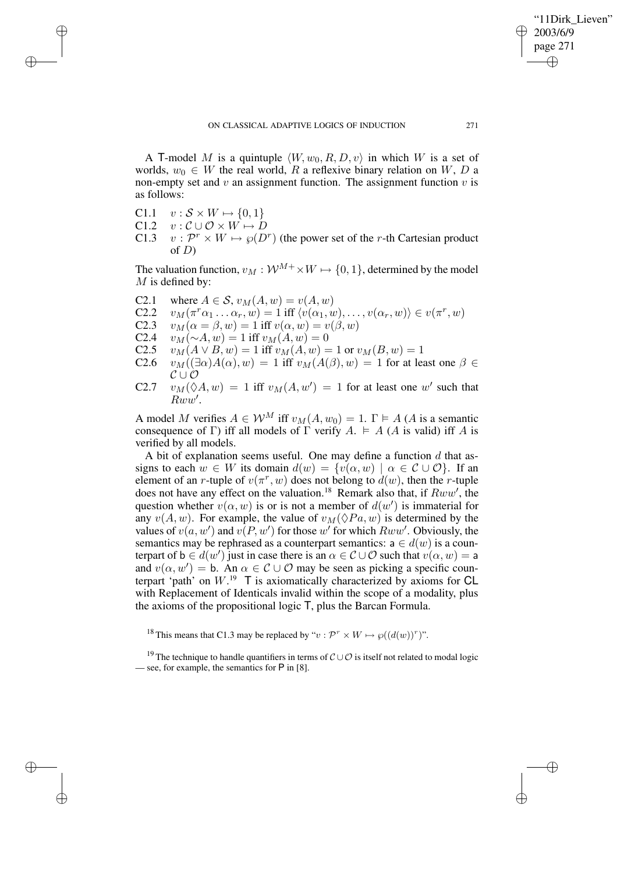A T-model M is a quintuple  $\langle W, w_0, R, D, v \rangle$  in which W is a set of worlds,  $w_0 \in W$  the real world, R a reflexive binary relation on W, D a non-empty set and  $v$  an assignment function. The assignment function  $v$  is as follows:

C1.1  $v : \mathcal{S} \times W \mapsto \{0, 1\}$ 

✐

✐

✐

✐

- C1.2  $v : \mathcal{C} \cup \mathcal{O} \times \mathcal{W} \mapsto D$
- C1.3  $v : \mathcal{P}^r \times W \mapsto \wp(D^r)$  (the power set of the r-th Cartesian product of  $D$ )

The valuation function,  $v_M : \mathcal{W}^{M+} \times W \mapsto \{0, 1\}$ , determined by the model  $M$  is defined by:

- C2.1 where  $A \in S$ ,  $v_M(A, w) = v(A, w)$ <br>C2.2  $v_M(\pi^r \alpha_1 \dots \alpha_r, w) = 1$  iff  $\langle v(\alpha_1, u) \rangle$
- C2.2  $v_M(\pi^r\alpha_1 \dots \alpha_r, w) = 1$  iff  $\langle v(\alpha_1, w), \dots, v(\alpha_r, w) \rangle \in v(\pi^r, w)$
- C2.3  $v_M(\alpha = \beta, w) = 1$  iff  $v(\alpha, w) = v(\beta, w)$ <br>C2.4  $v_M(\sim A, w) = 1$  iff  $v_M(A, w) = 0$
- C2.4  $v_M(\sim A, w) = 1$  iff  $v_M(A, w) = 0$ <br>C2.5  $v_M(A \vee B, w) = 1$  iff  $v_M(A, w) = 0$
- $v_M(A \vee B, w) = 1$  iff  $v_M(A, w) = 1$  or  $v_M(B, w) = 1$
- C2.6  $v_M((\exists \alpha)A(\alpha), w) = 1$  iff  $v_M(A(\beta), w) = 1$  for at least one  $\beta \in$  $\mathcal{C} \cup \mathcal{O}$
- C2.7  $v_M(\Diamond A, w) = 1$  iff  $v_M(A, w') = 1$  for at least one w' such that  $\overset{\sim}{Rww'}$ .

A model M verifies  $A \in W^M$  iff  $v_M(A, w_0) = 1$ .  $\Gamma \models A$  (A is a semantic consequence of Γ) iff all models of Γ verify  $A = A$  (A is valid) iff A is verified by all models.

A bit of explanation seems useful. One may define a function  $d$  that assigns to each  $w \in W$  its domain  $d(w) = \{v(\alpha, w) \mid \alpha \in \mathcal{C} \cup \mathcal{O}\}\$ . If an element of an *r*-tuple of  $v(\pi^r, w)$  does not belong to  $d(w)$ , then the *r*-tuple does not have any effect on the valuation.<sup>18</sup> Remark also that, if  $Rww'$ , the question whether  $v(\alpha, w)$  is or is not a member of  $d(w')$  is immaterial for any  $v(A, w)$ . For example, the value of  $v_M(\Diamond Pa, w)$  is determined by the values of  $v(a, w')$  and  $v(P, w')$  for those w' for which  $Rww'$ . Obviously, the semantics may be rephrased as a counterpart semantics:  $a \in d(w)$  is a counterpart of  $b \in d(w')$  just in case there is an  $\alpha \in C \cup \mathcal{O}$  such that  $v(\alpha, w) = a$ and  $v(\alpha, w') = b$ . An  $\alpha \in \mathcal{C} \cup \mathcal{O}$  may be seen as picking a specific counterpart 'path' on  $W$ .<sup>19</sup> T is axiomatically characterized by axioms for CL with Replacement of Identicals invalid within the scope of a modality, plus the axioms of the propositional logic T, plus the Barcan Formula.

<sup>18</sup> This means that C1.3 may be replaced by " $v : \mathcal{P}^r \times W \mapsto \varphi((d(w))^r)$ ".

"11Dirk Lieven"

2003/6/9 page 271

✐

✐

✐

<sup>&</sup>lt;sup>19</sup> The technique to handle quantifiers in terms of  $\mathcal{C} \cup \mathcal{O}$  is itself not related to modal logic — see, for example, the semantics for P in [8].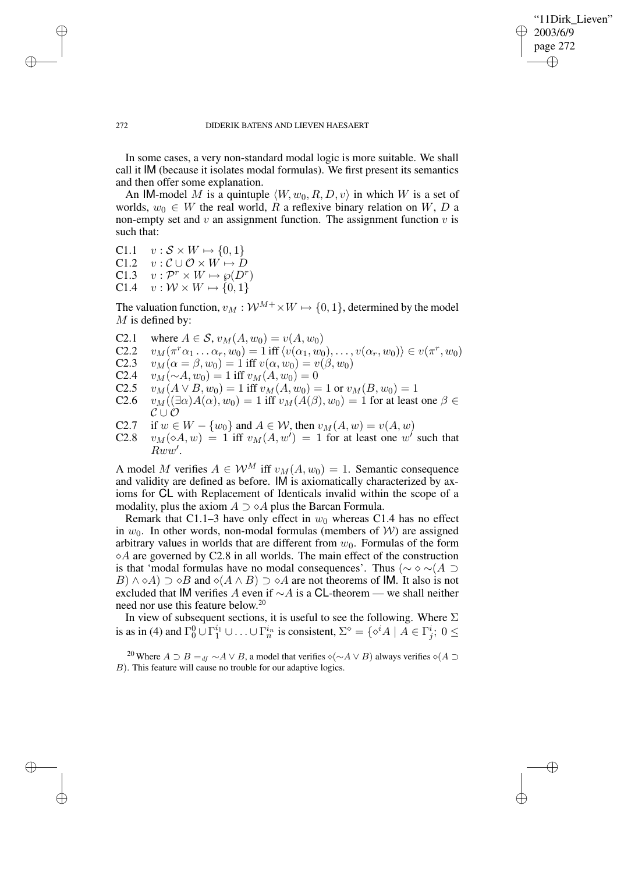✐

#### 272 DIDERIK BATENS AND LIEVEN HAESAERT

In some cases, a very non-standard modal logic is more suitable. We shall call it IM (because it isolates modal formulas). We first present its semantics and then offer some explanation.

An IM-model M is a quintuple  $\langle W, w_0, R, D, v \rangle$  in which W is a set of worlds,  $w_0 \in W$  the real world, R a reflexive binary relation on W, D a non-empty set and  $v$  an assignment function. The assignment function  $v$  is such that:

C1.1  $v : \mathcal{S} \times W \mapsto \{0, 1\}$ C1.2  $v : \mathcal{C} \cup \mathcal{O} \times \overline{W} \mapsto D$ 

✐

✐

✐

✐

- C1.3  $v: \mathcal{P}^r \times W \mapsto \wp(D^r)$
- C1.4  $v : \mathcal{W} \times W \mapsto \{0, 1\}$

The valuation function,  $v_M : \mathcal{W}^{M+} \times W \mapsto \{0, 1\}$ , determined by the model  $M$  is defined by:

- C2.1 where  $A \in \mathcal{S}$ ,  $v_M(A, w_0) = v(A, w_0)$
- C2.2  $v_M(\pi^r\alpha_1 \dots \alpha_r, w_0) = 1$  iff  $\langle v(\alpha_1, w_0), \dots, v(\alpha_r, w_0) \rangle \in v(\pi^r, w_0)$
- C2.3  $v_M(\alpha = \beta, w_0) = 1$  iff  $v(\alpha, w_0) = v(\beta, w_0)$
- C2.4  $v_M(\sim A, w_0) = 1$  iff  $v_M(A, w_0) = 0$ <br>C2.5  $v_M(A \vee B, w_0) = 1$  iff  $v_M(A, w_0) = 0$
- $v_M(A \vee B, w_0) = 1$  iff  $v_M(A, w_0) = 1$  or  $v_M(B, w_0) = 1$
- C2.6  $v_M((\exists \alpha)A(\alpha), w_0) = 1$  iff  $v_M(A(\beta), w_0) = 1$  for at least one  $\beta \in$  $\mathcal{C} \cup \mathcal{O}$
- C2.7 if  $w \in W \{w_0\}$  and  $A \in W$ , then  $v_M(A, w) = v(A, w)$ <br>C2.8  $v_M(\diamond A, w) = 1$  iff  $v_M(A, w') = 1$  for at least one w'
- C2.8  $v_M(\diamond A, w) = 1$  iff  $v_M(A, w') = 1$  for at least one w such that  $\overset{\cdots}{R}w\overset{\cdots}{w}$ .

A model M verifies  $A \in W^M$  iff  $v_M(A, w_0) = 1$ . Semantic consequence and validity are defined as before. IM is axiomatically characterized by axioms for CL with Replacement of Identicals invalid within the scope of a modality, plus the axiom  $A \supset \diamond A$  plus the Barcan Formula.

Remark that C1.1–3 have only effect in  $w_0$  whereas C1.4 has no effect in  $w_0$ . In other words, non-modal formulas (members of W) are assigned arbitrary values in worlds that are different from  $w_0$ . Formulas of the form  $\Diamond A$  are governed by C2.8 in all worlds. The main effect of the construction is that 'modal formulas have no modal consequences'. Thus ( $\sim \sim \sim (A \supset$  $B) \wedge \diamond A$ )  $\supset \diamond B$  and  $\diamond (A \wedge B) \supset \diamond A$  are not theorems of IM. It also is not excluded that IM verifies A even if  $\sim$ A is a CL-theorem — we shall neither need nor use this feature below. 20

In view of subsequent sections, it is useful to see the following. Where  $\Sigma$ is as in (4) and  $\Gamma_0^0 \cup \Gamma_1^{i_1} \cup \ldots \cup \Gamma_n^{i_n}$  is consistent,  $\Sigma^{\diamond} = \{ \diamond^i A \mid A \in \Gamma_j^i; 0 \leq$ 

<sup>20</sup> Where  $A \supset B =_{df} \sim A \vee B$ , a model that verifies  $\diamond (\sim A \vee B)$  always verifies  $\diamond (A \supset B)$ B). This feature will cause no trouble for our adaptive logics.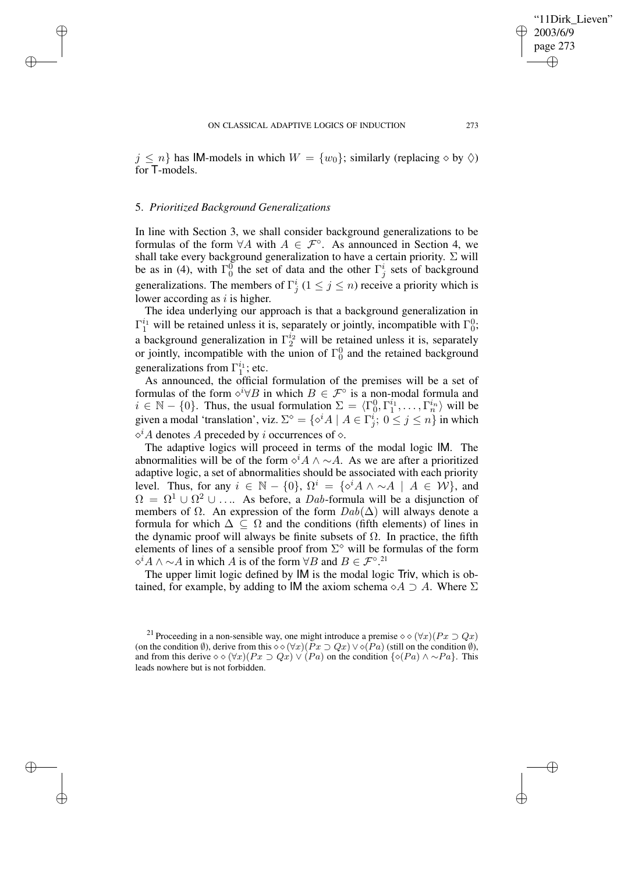$j \leq n$  has IM-models in which  $W = \{w_0\}$ ; similarly (replacing  $\diamond$  by  $\diamondsuit$ ) for T-models.

## 5. *Prioritized Background Generalizations*

✐

✐

✐

✐

In line with Section 3, we shall consider background generalizations to be formulas of the form  $\forall A$  with  $A \in \mathcal{F}^{\circ}$ . As announced in Section 4, we shall take every background generalization to have a certain priority.  $\Sigma$  will be as in (4), with  $\Gamma_0^0$  the set of data and the other  $\Gamma_j^i$  sets of background generalizations. The members of  $\Gamma_j^i$  ( $1 \le j \le n$ ) receive a priority which is lower according as  $i$  is higher.

The idea underlying our approach is that a background generalization in  $\Gamma_1^{i_1}$  will be retained unless it is, separately or jointly, incompatible with  $\Gamma_0^0$ ; a background generalization in  $\Gamma_2^{i_2}$  will be retained unless it is, separately or jointly, incompatible with the union of  $\Gamma_0^0$  and the retained background generalizations from  $\Gamma_1^{i_1}$ ; etc.

As announced, the official formulation of the premises will be a set of formulas of the form  $\diamond^{i} \forall B$  in which  $B \in \mathcal{F}^{\circ}$  is a non-modal formula and  $i \in \mathbb{N} - \{0\}$ . Thus, the usual formulation  $\Sigma = \langle \Gamma_0^0, \Gamma_1^{i_1}, \ldots, \Gamma_n^{i_n} \rangle$  will be given a modal 'translation', viz.  $\Sigma^{\diamond} = \{ \diamond^{i} A \mid A \in \Gamma_i^i; \; 0 \le j \le n \}$  in which  $\diamond^{i}$ A denotes A preceded by *i* occurrences of  $\diamond$ .

The adaptive logics will proceed in terms of the modal logic IM. The abnormalities will be of the form  $\Diamond^i A \land \neg A$ . As we are after a prioritized adaptive logic, a set of abnormalities should be associated with each priority level. Thus, for any  $i \in \mathbb{N} - \{0\}$ ,  $\Omega^i = \{ \diamond^i A \wedge \sim A \mid A \in \mathcal{W} \}$ , and  $\Omega = \Omega^1 \cup \Omega^2 \cup \dots$  As before, a *Dab*-formula will be a disjunction of members of  $\Omega$ . An expression of the form  $Dab(\Delta)$  will always denote a formula for which  $\Delta \subseteq \Omega$  and the conditions (fifth elements) of lines in the dynamic proof will always be finite subsets of  $\Omega$ . In practice, the fifth elements of lines of a sensible proof from  $\Sigma^{\diamond}$  will be formulas of the form  $\diamond^{i} A \wedge \sim A$  in which A is of the form  $\forall B$  and  $B \in \mathcal{F}^{\circ}$ .<sup>21</sup>

The upper limit logic defined by IM is the modal logic Triv, which is obtained, for example, by adding to IM the axiom schema  $\circ A \supset A$ . Where  $\Sigma$ 

'11Dirk Lieven"

2003/6/9 page 273

✐

✐

✐

<sup>&</sup>lt;sup>21</sup> Proceeding in a non-sensible way, one might introduce a premise  $\diamond \diamond (\forall x)(Px \supset Qx)$ (on the condition Ø), derive from this  $\diamond \diamond (\forall x)(Px \supset Qx) \vee \diamond (Pa)$  (still on the condition Ø), and from this derive  $\diamond \diamond (\forall x)(Px \supset Qx) \vee (Pa)$  on the condition  $\{\diamond (Pa) \wedge \sim Pa\}$ . This leads nowhere but is not forbidden.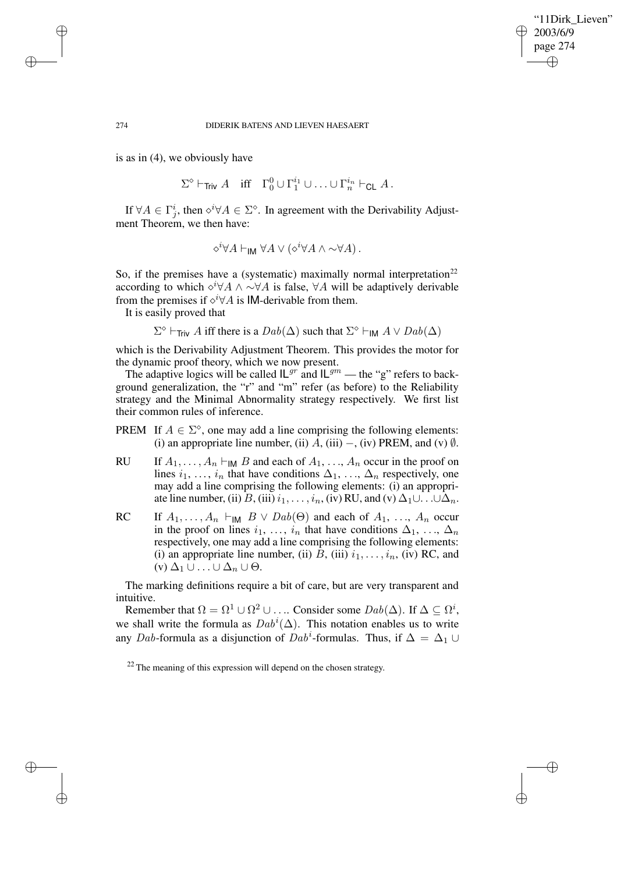✐

#### 274 DIDERIK BATENS AND LIEVEN HAESAERT

is as in (4), we obviously have

$$
\Sigma^{\diamond} \vdash_{\mathsf{Triv}} A \quad \text{iff} \quad \Gamma^0_0 \cup \Gamma^{i_1}_1 \cup \ldots \cup \Gamma^{i_n}_n \vdash_{\mathsf{CL}} A \, .
$$

If  $\forall A \in \Gamma_j^i$ , then  $\diamond^i \forall A \in \Sigma^\diamond$ . In agreement with the Derivability Adjustment Theorem, we then have:

$$
\diamond^i \forall A \vdash_{\mathsf{IM}} \forall A \vee (\diamond^i \forall A \wedge \sim \forall A) \, .
$$

So, if the premises have a (systematic) maximally normal interpretation<sup>22</sup> according to which  $\Diamond^i \forall A \land \Diamond \forall A$  is false,  $\forall A$  will be adaptively derivable from the premises if  $\diamond^i \forall A$  is IM-derivable from them.

It is easily proved that

 $\Sigma^{\diamond}$   $\vdash_{\text{Triv}} A$  iff there is a  $Dab(\Delta)$  such that  $\Sigma^{\diamond} \vdash_{\text{IM}} A \lor Dab(\Delta)$ 

which is the Derivability Adjustment Theorem. This provides the motor for the dynamic proof theory, which we now present.

The adaptive logics will be called  $IL^{gr}$  and  $IL^{gm}$  — the "g" refers to background generalization, the "r" and "m" refer (as before) to the Reliability strategy and the Minimal Abnormality strategy respectively. We first list their common rules of inference.

- PREM If  $A \in \Sigma^{\diamond}$ , one may add a line comprising the following elements: (i) an appropriate line number, (ii)  $\overline{A}$ , (iii) –, (iv) PREM, and (v)  $\emptyset$ .
- RU If  $A_1, \ldots, A_n \vdash_M B$  and each of  $A_1, \ldots, A_n$  occur in the proof on lines  $i_1, \ldots, i_n$  that have conditions  $\Delta_1, \ldots, \Delta_n$  respectively, one may add a line comprising the following elements: (i) an appropriate line number, (ii) B, (iii)  $i_1, \ldots, i_n$ , (iv) RU, and (v)  $\Delta_1 \cup \ldots \cup \Delta_n$ .
- RC If  $A_1, \ldots, A_n \vdash_{\mathsf{IM}} B \vee \mathit{Dab}(\Theta)$  and each of  $A_1, \ldots, A_n$  occur in the proof on lines  $i_1, \ldots, i_n$  that have conditions  $\Delta_1, \ldots, \Delta_n$ respectively, one may add a line comprising the following elements: (i) an appropriate line number, (ii)  $B$ , (iii)  $i_1, \ldots, i_n$ , (iv) RC, and  $(v)$   $\Delta_1 \cup ... \cup \Delta_n \cup \Theta$ .

The marking definitions require a bit of care, but are very transparent and intuitive.

Remember that  $\Omega = \Omega^1 \cup \Omega^2 \cup \dots$  Consider some  $Dab(\Delta)$ . If  $\Delta \subseteq \Omega^i$ , we shall write the formula as  $Dab^i(\Delta)$ . This notation enables us to write any Dab-formula as a disjunction of Dab<sup>i</sup>-formulas. Thus, if  $\Delta = \Delta_1 \cup$ 

✐

✐

✐

 $22$  The meaning of this expression will depend on the chosen strategy.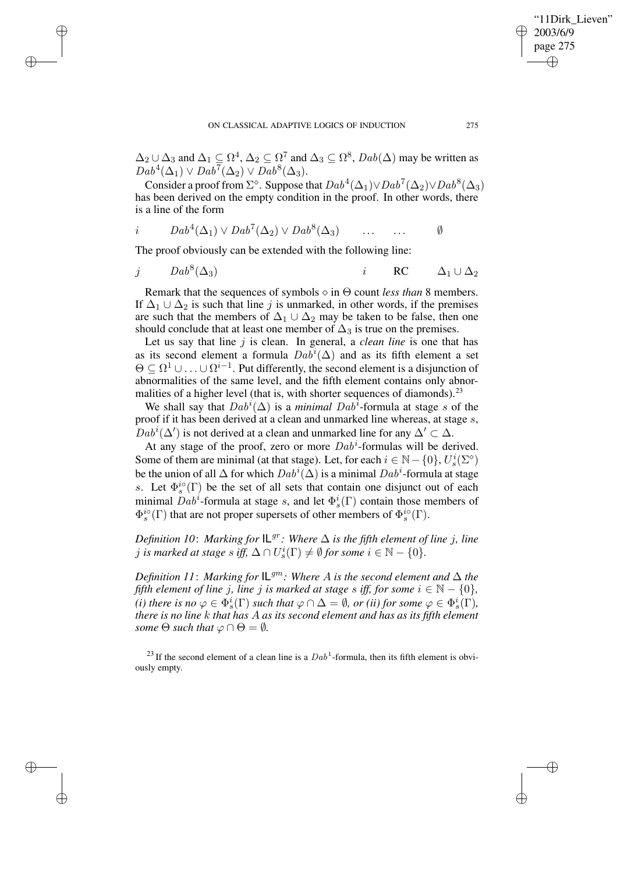$\Delta_2 \cup \Delta_3$  and  $\Delta_1 \subseteq \Omega^4$ ,  $\Delta_2 \subseteq \Omega^7$  and  $\Delta_3 \subseteq \Omega^8$ ,  $Dab(\Delta)$  may be written as  $Dab^4(\Delta_1) \vee Dab^7(\Delta_2) \vee Dab^8(\Delta_3).$ 

Consider a proof from  $\Sigma^{\diamond}$ . Suppose that  $Dab^4(\Delta_1) \vee Dab^7(\Delta_2) \vee Dab^8(\Delta_3)$ has been derived on the empty condition in the proof. In other words, there is a line of the form

$$
i \qquad Dab^4(\Delta_1) \vee Dab^7(\Delta_2) \vee Dab^8(\Delta_3) \qquad \dots \qquad \dots \qquad \emptyset
$$

The proof obviously can be extended with the following line:

✐

✐

✐

✐

$$
j \qquad Dab^8(\Delta_3) \qquad \qquad i \qquad \mathsf{RC} \qquad \Delta_1 \cup \Delta_2
$$

Remark that the sequences of symbols  $\diamond$  in  $\Theta$  count *less than* 8 members. If  $\Delta_1 \cup \Delta_2$  is such that line j is unmarked, in other words, if the premises are such that the members of  $\Delta_1 \cup \Delta_2$  may be taken to be false, then one should conclude that at least one member of  $\Delta_3$  is true on the premises.

Let us say that line j is clean. In general, a *clean line* is one that has as its second element a formula  $Dab^i(\Delta)$  and as its fifth element a set  $\Theta \subseteq \Omega^1 \cup \ldots \cup \Omega^{i-1}$ . Put differently, the second element is a disjunction of abnormalities of the same level, and the fifth element contains only abnormalities of a higher level (that is, with shorter sequences of diamonds).<sup>23</sup>

We shall say that  $Dab^i(\Delta)$  is a *minimal Dab*<sup> $\bar{i}$ </sup>-formula at stage s of the proof if it has been derived at a clean and unmarked line whereas, at stage s,  $Dab^i(\Delta')$  is not derived at a clean and unmarked line for any  $\Delta' \subset \Delta$ .

At any stage of the proof, zero or more  $Dab^i$ -formulas will be derived. Some of them are minimal (at that stage). Let, for each  $i \in \mathbb{N} - \{0\}$ ,  $U_s^i(\Sigma^{\circ})$ be the union of all  $\Delta$  for which  $Dab^i(\Delta)$  is a minimal  $Dab^i$ -formula at stage s. Let  $\Phi_s^{io}(\Gamma)$  be the set of all sets that contain one disjunct out of each minimal  $Dab^i$ -formula at stage s, and let  $\Phi_s^i(\Gamma)$  contain those members of  $\Phi_s^{io}(\Gamma)$  that are not proper supersets of other members of  $\Phi_s^{io}(\Gamma)$ .

*Definition* 10: *Marking for*  $\mathbb{L}^{gr}$ *: Where*  $\Delta$  *is the fifth element of line j, line*  $j$  *is marked at stage s iff,*  $\Delta \cap U_s^i(\Gamma) \neq \emptyset$  for some  $i \in \mathbb{N} - \{0\}$ .

*Definition* 11: *Marking for*  $IL^{gm}$ : *Where A is the second element and*  $\Delta$  *the fifth element of line j, line j is marked at stage s iff, for some*  $i \in \mathbb{N} - \{0\}$ *,* (*i*) *there is no*  $\varphi \in \Phi_s^i(\Gamma)$  *such that*  $\varphi \cap \Delta = \emptyset$ *, or (ii) for some*  $\varphi \in \Phi_s^i(\Gamma)$ *, there is no line* k *that has* A *as its second element and has as its fifth element some*  $\Theta$  *such that*  $\varphi \cap \Theta = \emptyset$ *.* 

<sup>23</sup> If the second element of a clean line is a  $Dab<sup>1</sup>$ -formula, then its fifth element is obviously empty.

'11Dirk Lieven"

2003/6/9 page 275

✐

✐

✐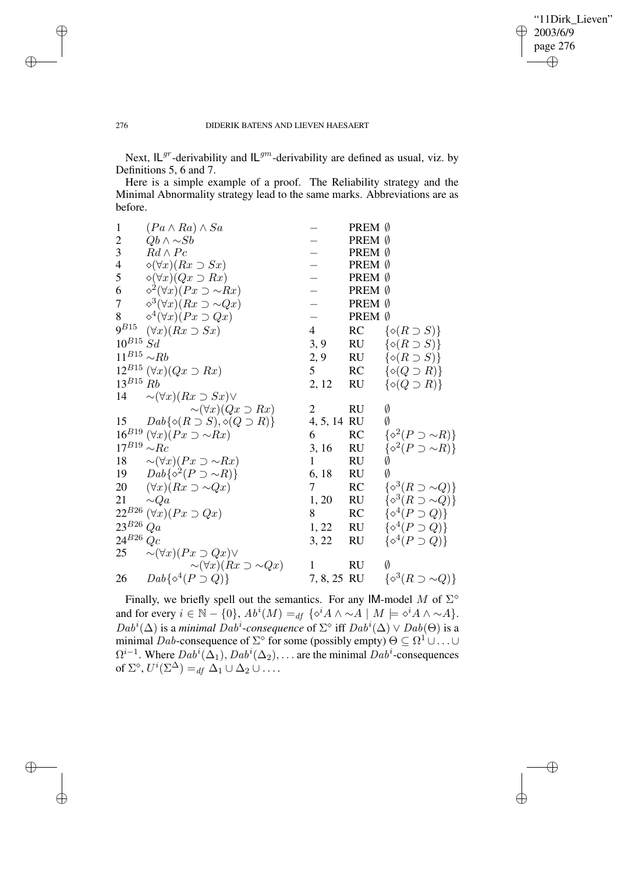$\bigoplus$ 

✐

## 276 DIDERIK BATENS AND LIEVEN HAESAERT

Next,  $IL^{gr}$ -derivability and  $IL^{gm}$ -derivability are defined as usual, viz. by Definitions 5, 6 and 7.

Here is a simple example of a proof. The Reliability strategy and the Minimal Abnormality strategy lead to the same marks. Abbreviations are as before.

| $\mathbf{1}$            | $(Pa \wedge Ra) \wedge Sa$                          |                | PREM Ø    |                                     |
|-------------------------|-----------------------------------------------------|----------------|-----------|-------------------------------------|
| $\overline{c}$          | $Qb \wedge \sim Sb$                                 |                | PREM Ø    |                                     |
| $\overline{\mathbf{3}}$ | $Rd \wedge Pc$                                      |                | PREM Ø    |                                     |
| $\overline{4}$          | $\diamond (\forall x)(Rx \supset Sx)$               |                | PREM Ø    |                                     |
| 5                       | $\Diamond(\forall x)(Qx \supset Rx)$                |                | PREM Ø    |                                     |
| 6                       | $\Diamond^2(\forall x)(Px \supset \sim Rx)$         |                | PREM Ø    |                                     |
| $\tau$                  | $\diamond^3(\forall x)(Rx \supset \sim Qx)$         |                | PREM Ø    |                                     |
| $8\,$                   | $\Diamond^4(\forall x)(Px \supset Qx)$              |                | PREM Ø    |                                     |
| $9^{B15}$               | $(\forall x)(Rx \supset Sx)$                        | $\overline{4}$ |           | RC $\{\diamond(R\supset S)\}\$      |
| $10^{B15}$ Sd           |                                                     | 3, 9           |           | RU $\{\diamond(R\supset S)\}\$      |
| $11^{B15} \sim Rb$      |                                                     | 2, 9 RU        |           | $\{\diamond(R\supset S)\}\$         |
|                         | $12^{B15} (\forall x)(Qx \supset Rx)$               | 5              | RC        | $\{\diamond(Q\supset R)\}\$         |
| $13^{B15}$ Rb           |                                                     | 2, 12          | <b>RU</b> | $\{\diamond(Q \supset R)\}\$        |
|                         | 14 $\sim (\forall x)(Rx \supset Sx) \vee$           |                |           |                                     |
|                         | $\sim (\forall x)(Qx \supset Rx)$                   | 2              | <b>RU</b> | Ø                                   |
| 15                      | $Dab\{\diamond(R\supset S),\diamond(Q\supset R)\}\$ | 4, 5, 14 RU    |           | Ø                                   |
|                         | $16^{B19} (\forall x)(Px \supset \sim Rx)$          | 6              | RC        | $\{\diamond^2(P \supset \sim R)\}\$ |
| $17^{B19} \sim Rc$      |                                                     | 3, 16          | RU        | $\{\diamond^2(P\supset \sim R)\}\$  |
|                         | 18 $\sim (\forall x)(Px \supset \sim Rx)$           | 1              | <b>RU</b> | Ø                                   |
|                         | 19 $Dab\{\diamond^2(P\supset \sim R)\}\$            | 6, 18          | <b>RU</b> | Ø                                   |
|                         | 20 $(\forall x)(Rx \supset \sim Qx)$                | 7              | RC        | $\{\diamond^3(R\supset \sim Q)\}\$  |
| 21                      | $\sim\!\!Qa$                                        | 1, 20          | RU        | $\{\diamond^3(R\supset \sim Q)\}\$  |
|                         | 22 <sup>B26</sup> $(\forall x)(Px \supset Qx)$      | 8              | RC        | $\{\diamond^4(P \supset Q)\}\$      |
| $23^{B26}$ Qa           |                                                     | 1, 22          | <b>RU</b> | $\{\diamond^4(P \supset Q)\}\$      |
| $24^{B26}$ Qc           |                                                     | 3, 22          | <b>RU</b> | $\{\diamond^4(P \supset Q)\}\$      |
| 25                      | $\sim (\forall x)(Px \supset Qx) \vee$              |                |           |                                     |
|                         | $\sim (\forall x)(Rx \supset \sim Qx)$              | 1              | <b>RU</b> | Ø                                   |
| 26                      | $Dab\{\diamond^4(P\supset Q)\}\$                    | 7, 8, 25 RU    |           | $\{\diamond^3(R\supset \sim Q)\}\$  |
|                         |                                                     |                |           |                                     |

Finally, we briefly spell out the semantics. For any IM-model M of  $\Sigma^{\diamond}$ and for every  $i \in \mathbb{N} - \{0\}$ ,  $Ab^i(M) =_{df} {\{\circ^i A \wedge \sim A \mid M \models \circ^i A \wedge \sim A\}}$ .  $Dab^i(\Delta)$  is a *minimal Dab<sup>i</sup>*-consequence of  $\Sigma^{\diamond}$  iff  $Dab^i(\Delta) \vee Dab(\Theta)$  is a minimal Dab-consequence of  $\Sigma^{\diamond}$  for some (possibly empty)  $\Theta \subseteq \Omega^1 \cup \ldots \cup$  $\Omega^{i-1}$ . Where  $Dab^i(\Delta_1)$ ,  $Dab^i(\Delta_2)$ , ... are the minimal  $\widetilde{Dab^i}$ -consequences of  $\Sigma^{\diamond}$ ,  $U^{i}(\Sigma^{\Delta}) =_{df} \Delta_1 \cup \Delta_2 \cup \ldots$ 

✐

✐

✐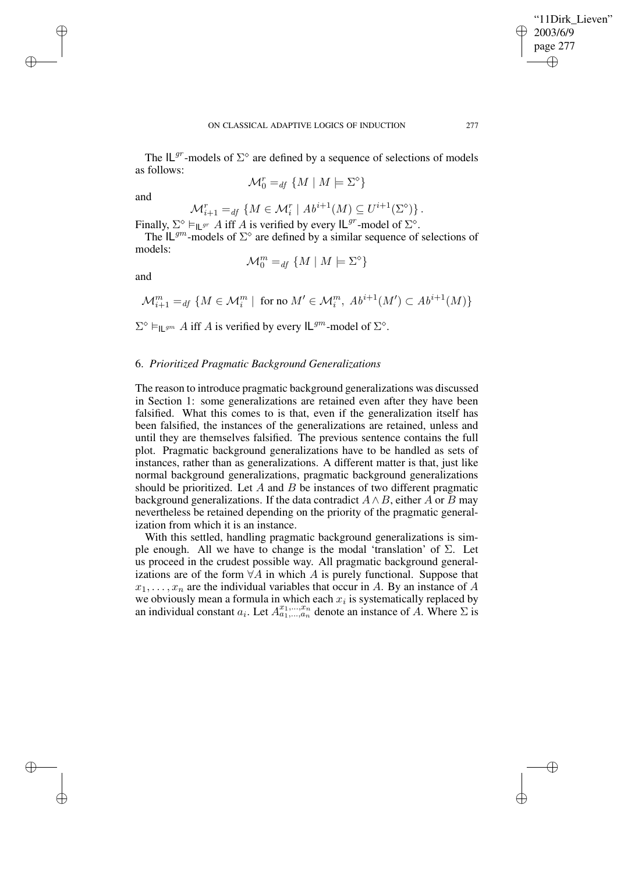✐

The  $IL^{gr}$ -models of  $\Sigma^{\diamond}$  are defined by a sequence of selections of models as follows:

 $\mathcal{M}_0^r =_{df} \{ M \mid M \models \Sigma^{\diamond}\}\$ 

and

✐

✐

✐

✐

$$
\mathcal{M}_{i+1}^r =_{df} \{ M \in \mathcal{M}_i^r \mid Ab^{i+1}(M) \subseteq U^{i+1}(\Sigma^{\diamond}) \}.
$$

Finally,  $\Sigma^{\diamond} \vDash_{\mathsf{IL}^{gr}} A$  iff A is verified by every  $\mathsf{IL}^{gr}$ -model of  $\Sigma^{\diamond}$ . The  $IL^{gm}$ -models of  $\Sigma^{\diamond}$  are defined by a similar sequence of selections of models:

$$
\mathcal{M}_0^m =_{df} \{ M \mid M \models \Sigma^\diamond \}
$$

and

$$
\mathcal{M}^m_{i+1} =_{df} \{ M \in \mathcal{M}^m_i \mid \text{ for no } M' \in \mathcal{M}^m_i, Ab^{i+1}(M') \subset Ab^{i+1}(M) \}
$$

 $\Sigma^{\diamond} \vDash_{\mathsf{IL}^{gm}} A$  iff A is verified by every  $\mathsf{IL}^{gm}$ -model of  $\Sigma^{\diamond}$ .

## 6. *Prioritized Pragmatic Background Generalizations*

The reason to introduce pragmatic background generalizations was discussed in Section 1: some generalizations are retained even after they have been falsified. What this comes to is that, even if the generalization itself has been falsified, the instances of the generalizations are retained, unless and until they are themselves falsified. The previous sentence contains the full plot. Pragmatic background generalizations have to be handled as sets of instances, rather than as generalizations. A different matter is that, just like normal background generalizations, pragmatic background generalizations should be prioritized. Let  $A$  and  $B$  be instances of two different pragmatic background generalizations. If the data contradict  $A \wedge B$ , either A or B may nevertheless be retained depending on the priority of the pragmatic generalization from which it is an instance.

With this settled, handling pragmatic background generalizations is simple enough. All we have to change is the modal 'translation' of  $\Sigma$ . Let us proceed in the crudest possible way. All pragmatic background generalizations are of the form  $\forall A$  in which A is purely functional. Suppose that  $x_1, \ldots, x_n$  are the individual variables that occur in A. By an instance of A we obviously mean a formula in which each  $x_i$  is systematically replaced by an individual constant  $a_i$ . Let  $A^{x_1,...,x_n}_{a_1,...,a_n}$  denote an instance of A. Where  $\Sigma$  is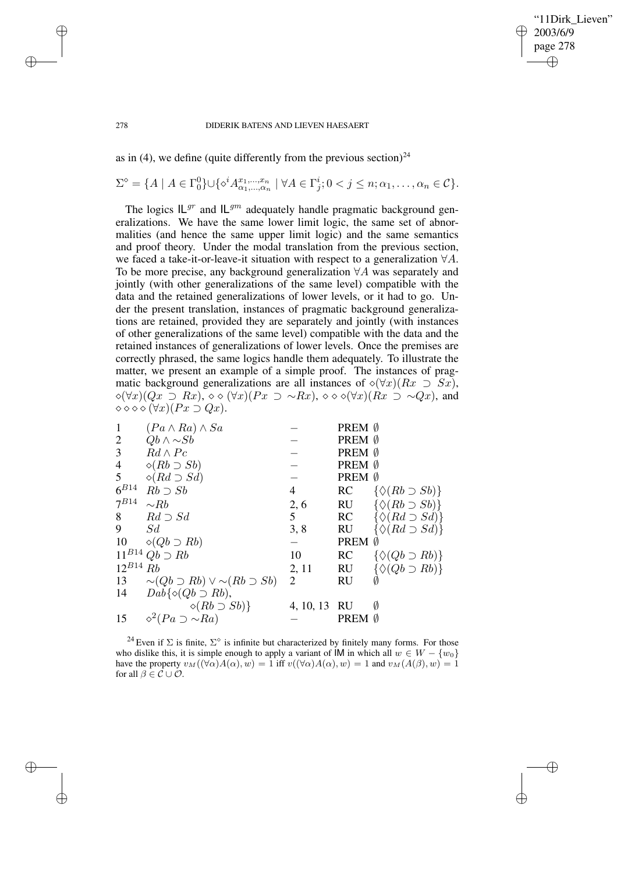✐

#### 278 DIDERIK BATENS AND LIEVEN HAESAERT

as in (4), we define (quite differently from the previous section)<sup>24</sup>

 $\Sigma^{\diamond} = \{A \mid A \in \Gamma_0^0\} \cup \{ \diamond^i A^{x_1,\dots,x_n}_{\alpha_1,\dots,\alpha_n} \mid \forall A \in \Gamma_j^i; 0 < j \leq n; \alpha_1,\dots,\alpha_n \in \mathcal{C} \}.$ 

The logics  $IL^{gr}$  and  $IL^{gm}$  adequately handle pragmatic background generalizations. We have the same lower limit logic, the same set of abnormalities (and hence the same upper limit logic) and the same semantics and proof theory. Under the modal translation from the previous section, we faced a take-it-or-leave-it situation with respect to a generalization ∀A. To be more precise, any background generalization ∀A was separately and jointly (with other generalizations of the same level) compatible with the data and the retained generalizations of lower levels, or it had to go. Under the present translation, instances of pragmatic background generalizations are retained, provided they are separately and jointly (with instances of other generalizations of the same level) compatible with the data and the retained instances of generalizations of lower levels. Once the premises are correctly phrased, the same logics handle them adequately. To illustrate the matter, we present an example of a simple proof. The instances of pragmatic background generalizations are all instances of  $\Diamond(\forall x)(Rx \supset Sx)$ ,  $\Diamond(\forall x)(Qx \supset Rx), \Diamond \Diamond(\forall x)(Px \supset \neg Rx), \Diamond \Diamond \Diamond(\forall x)(Rx \supset \neg Qx)$ , and  $\diamond \diamond \diamond \diamond (\forall x)(Px \supset Qx).$ 

| $\mathbf{1}$    | $(Pa \wedge Ra) \wedge Sa$                       |              | PREM Ø      |                                 |
|-----------------|--------------------------------------------------|--------------|-------------|---------------------------------|
| 2               | $Qb \wedge \sim Sb$                              |              | PREM Ø      |                                 |
| 3               | $Rd \wedge Pc$                                   |              | PREM 0      |                                 |
| $\overline{4}$  | $\diamond (Rb \supset Sb)$                       |              | PREM 0      |                                 |
| $5\overline{)}$ | $\diamond (Rd \supset Sd)$                       |              | PREM Ø      |                                 |
| $6^{B14}$       | $Rb \supset Sb$                                  | 4            | RC          | $\{\Diamond(Rb \supset Sb)\}\$  |
| $7^{B14}$       | $\sim$ Rb                                        | 2, 6         | RU          | $\{\Diamond(Rb \supset Sb)\}\$  |
| 8               | $Rd \supset Sd$                                  | 5            | RC          | $\{\Diamond (Rd \supset Sd)\}\$ |
| 9               | S d                                              | 3, 8         | <b>RU</b>   | $\{\Diamond (Rd \supset Sd)\}\$ |
| 10              | $\diamond (Qb \supset Rb)$                       |              | <b>PREM</b> | Ø                               |
|                 | $11^{B14} Qb \supset Rb$                         | 10           | RC          | $\{\Diamond (Qb \supset Rb)\}\$ |
| $12^{B14}$ Rb   |                                                  | 2, 11        | <b>RU</b>   | $\{\Diamond (Qb \supset Rb)\}\$ |
| 13              | $\sim (Qb \supset Rb) \vee \sim (Rb \supset Sb)$ | 2            | RU          |                                 |
| 14              | $Dab\{\diamond(Qb\supset Rb),\}$                 |              |             |                                 |
|                 | $\diamond (Rb \supset Sb)$                       | 4, 10, 13 RU |             | Ø                               |
| 15              | $\Diamond^2(Pa \supset \sim Ra)$                 |              | PREM Ø      |                                 |

<sup>24</sup> Even if  $\Sigma$  is finite,  $\Sigma^{\diamond}$  is infinite but characterized by finitely many forms. For those who dislike this, it is simple enough to apply a variant of IM in which all  $w \in W - \{w_0\}$ have the property  $v_M((\forall \alpha)A(\alpha), w) = 1$  iff  $v((\forall \alpha)A(\alpha), w) = 1$  and  $v_M(A(\beta), w) = 1$ for all  $\beta \in \mathcal{C} \cup \mathcal{O}$ .

✐

✐

✐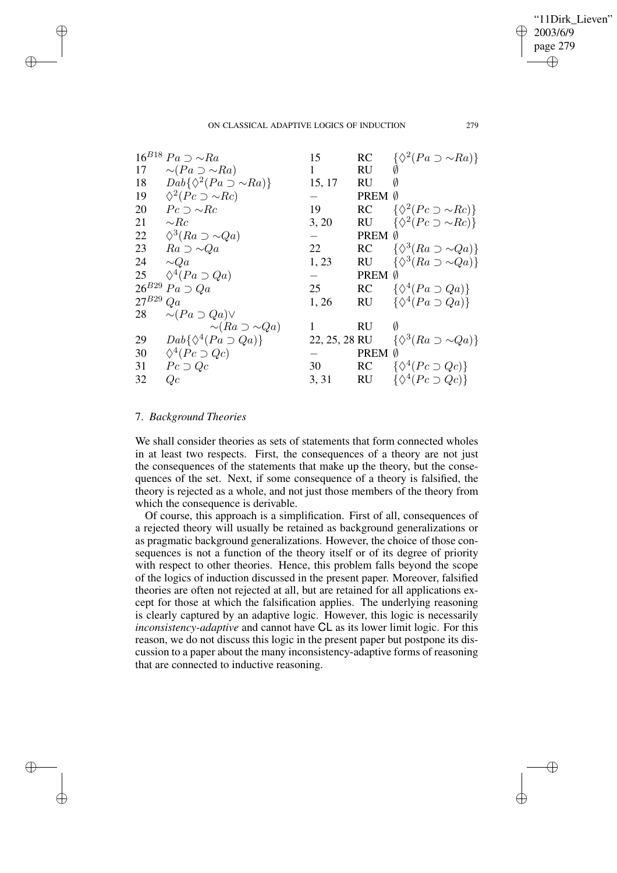✐

#### ON CLASSICAL ADAPTIVE LOGICS OF INDUCTION 279

|            | $16^{B18} Pa \supset \sim Ra$            | 15            | <b>RC</b>   | $\{\Diamond^2(Pa \supset \sim Ra)\}\$  |
|------------|------------------------------------------|---------------|-------------|----------------------------------------|
| 17         | $\sim (Pa \supset \sim Ra)$              | 1             | RU          |                                        |
| 18         | $Dab\{\Diamond^2(Pa \supset \sim Ra)\}\$ | 15, 17        | RU          |                                        |
| 19         | $\Diamond^2 (Pc \supset \sim Rc)$        |               | PREM        | Ø                                      |
| 20         | $Pc \supset \sim Rc$                     | 19            | <b>RC</b>   | $\{\Diamond^2 (Pc \supset \sim Rc)\}\$ |
| 21         | $\sim$ Rc                                | 3, 20         | <b>RU</b>   | $\{\Diamond^2 (Pc \supset \sim Rc)\}\$ |
| 22         | $\Diamond^3(Ra\supset \sim Qa)$          |               | <b>PREM</b> | Ø                                      |
| 23         | $Ra \supset \sim Qa$                     | 22            | RC          | $\{\Diamond^3(Ra\supset \sim Qa)\}\$   |
| 24         | $\sim Qa$                                | 1, 23         | RU          | $\{\Diamond^3(Ra\supset \sim Qa)\}\$   |
| 25         | $\Diamond^4(Pa \supset Qa)$              |               | <b>PREM</b> | Ø                                      |
| $26^{B29}$ | $Pa \supset Qa$                          | 25            | <b>RC</b>   | $\{\Diamond^4(Pa\supset Qa)\}\$        |
| $27^{B29}$ | Qa                                       | 1, 26         | <b>RU</b>   | $\{\Diamond^4(Pa\supset Qa)\}\$        |
| 28         | $\sim (Pa \supset Qa) \vee$              |               |             |                                        |
|            | $\sim (Ra \supset \sim Qa)$              |               | RU          | Ø                                      |
| 29         | $Dab\{\Diamond^4(Pa\supset Qa)\}\$       | 22, 25, 28 RU |             | $\{\Diamond^3(Ra\supset \sim Qa)\}\$   |
| 30         | $\Diamond^4(Pc \supset Qc)$              |               | PREM        | Ø                                      |
| 31         | $Pc \supset Qc$                          | 30            | <b>RC</b>   | $\{\Diamond^4(Pc\supset Qc)\}\$        |
| 32         | Qc                                       | 3, 31         | <b>RU</b>   | $\{\Diamond^4(Pc\supset Qc)\}\$        |

# 7. *Background Theories*

✐

✐

✐

✐

We shall consider theories as sets of statements that form connected wholes in at least two respects. First, the consequences of a theory are not just the consequences of the statements that make up the theory, but the consequences of the set. Next, if some consequence of a theory is falsified, the theory is rejected as a whole, and not just those members of the theory from which the consequence is derivable.

Of course, this approach is a simplification. First of all, consequences of a rejected theory will usually be retained as background generalizations or as pragmatic background generalizations. However, the choice of those consequences is not a function of the theory itself or of its degree of priority with respect to other theories. Hence, this problem falls beyond the scope of the logics of induction discussed in the present paper. Moreover, falsified theories are often not rejected at all, but are retained for all applications except for those at which the falsification applies. The underlying reasoning is clearly captured by an adaptive logic. However, this logic is necessarily *inconsistency-adaptive* and cannot have CL as its lower limit logic. For this reason, we do not discuss this logic in the present paper but postpone its discussion to a paper about the many inconsistency-adaptive forms of reasoning that are connected to inductive reasoning.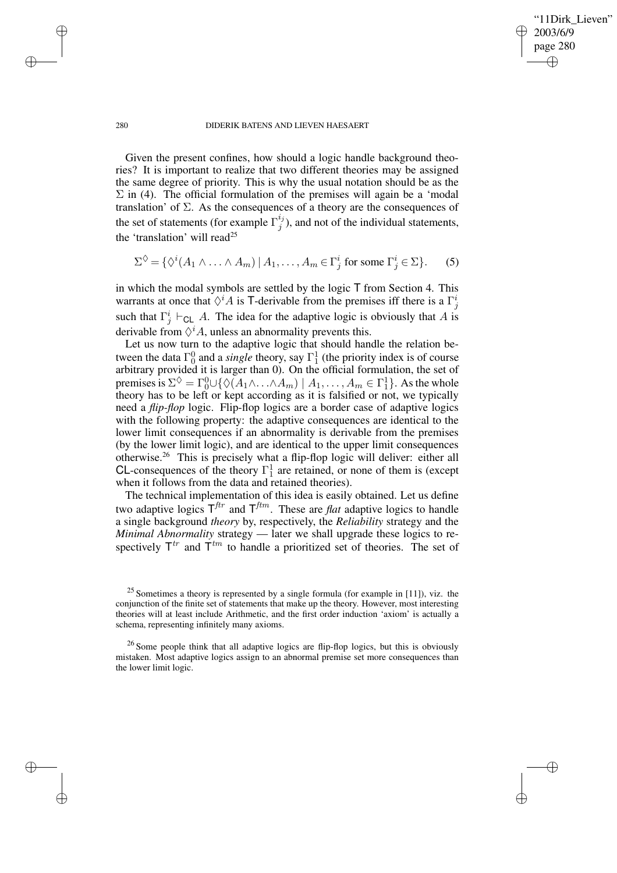✐

#### 280 DIDERIK BATENS AND LIEVEN HAESAERT

Given the present confines, how should a logic handle background theories? It is important to realize that two different theories may be assigned the same degree of priority. This is why the usual notation should be as the  $\Sigma$  in (4). The official formulation of the premises will again be a 'modal translation' of  $\Sigma$ . As the consequences of a theory are the consequences of the set of statements (for example  $\Gamma_j^{i_j}$  $j^{ij}$ ), and not of the individual statements, the 'translation' will read<sup>25</sup>

$$
\Sigma^{\diamondsuit} = \{ \diamond^{i} (A_1 \wedge \ldots \wedge A_m) \mid A_1, \ldots, A_m \in \Gamma_j^i \text{ for some } \Gamma_j^i \in \Sigma \}. \tag{5}
$$

in which the modal symbols are settled by the logic  $T$  from Section 4. This warrants at once that  $\Diamond^i A$  is T-derivable from the premises iff there is a  $\Gamma^i_j$ such that  $\Gamma_j^i \vdash_{\mathsf{CL}} A$ . The idea for the adaptive logic is obviously that A is derivable from  $\Diamond^i A$ , unless an abnormality prevents this.

Let us now turn to the adaptive logic that should handle the relation between the data  $\Gamma_0^0$  and a *single* theory, say  $\Gamma_1^1$  (the priority index is of course arbitrary provided it is larger than 0). On the official formulation, the set of premises is  $\Sigma^{\diamondsuit} = \Gamma_0^0 \cup \{ \diamondsuit (A_1 \wedge \ldots \wedge A_m) \mid A_1, \ldots, A_m \in \Gamma_1^1 \}$ . As the whole theory has to be left or kept according as it is falsified or not, we typically need a *flip-flop* logic. Flip-flop logics are a border case of adaptive logics with the following property: the adaptive consequences are identical to the lower limit consequences if an abnormality is derivable from the premises (by the lower limit logic), and are identical to the upper limit consequences otherwise.<sup>26</sup> This is precisely what a flip-flop logic will deliver: either all CL-consequences of the theory  $\Gamma_1^1$  are retained, or none of them is (except when it follows from the data and retained theories).

The technical implementation of this idea is easily obtained. Let us define two adaptive logics  $T^{ftr}$  and  $T^{ftm}$ . These are *flat* adaptive logics to handle a single background *theory* by, respectively, the *Reliability* strategy and the *Minimal Abnormality* strategy — later we shall upgrade these logics to respectively  $T^{tr}$  and  $T^{tm}$  to handle a prioritized set of theories. The set of

✐

✐

✐

 $25$  Sometimes a theory is represented by a single formula (for example in [11]), viz. the conjunction of the finite set of statements that make up the theory. However, most interesting theories will at least include Arithmetic, and the first order induction 'axiom' is actually a schema, representing infinitely many axioms.

<sup>&</sup>lt;sup>26</sup> Some people think that all adaptive logics are flip-flop logics, but this is obviously mistaken. Most adaptive logics assign to an abnormal premise set more consequences than the lower limit logic.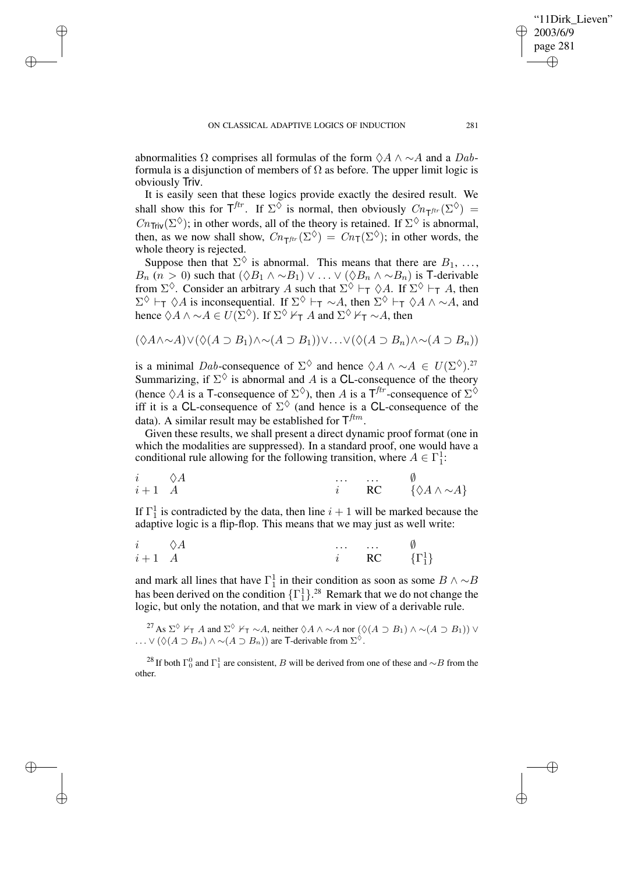✐

✐

✐

abnormalities  $\Omega$  comprises all formulas of the form  $\Diamond A \land \sim A$  and a Dabformula is a disjunction of members of  $\Omega$  as before. The upper limit logic is obviously Triv.

It is easily seen that these logics provide exactly the desired result. We shall show this for  $T^{ftr}$ . If  $\Sigma^{\lozenge}$  is normal, then obviously  $C_{n_Tf^{tr}}(\Sigma^{\lozenge}) =$  $Cn_{\text{Triv}}(\Sigma^{\lozenge})$ ; in other words, all of the theory is retained. If  $\Sigma^{\lozenge}$  is abnormal, then, as we now shall show,  $Cn_{\mathsf{T}^{ftr}}(\Sigma^{\lozenge}) = Cn_{\mathsf{T}}(\Sigma^{\lozenge})$ ; in other words, the whole theory is rejected.

Suppose then that  $\Sigma^{\diamondsuit}$  is abnormal. This means that there are  $B_1, \ldots,$  $B_n$   $(n > 0)$  such that  $(\Diamond B_1 \land \neg B_1) \lor ... \lor (\Diamond B_n \land \neg B_n)$  is T-derivable from  $\Sigma^{\Diamond}$ . Consider an arbitrary A such that  $\Sigma^{\Diamond} \vdash_{\mathsf{T}} \Diamond A$ . If  $\Sigma^{\Diamond} \vdash_{\mathsf{T}} A$ , then  $\Sigma^{\Diamond}$   $\vdash_{\mathsf{T}} \Diamond A$  is inconsequential. If  $\Sigma^{\Diamond} \vdash_{\mathsf{T}} \sim A$ , then  $\Sigma^{\Diamond} \vdash_{\mathsf{T}} \Diamond A \land \sim A$ , and hence  $\Diamond A \land \sim A \in U(\Sigma^{\Diamond})$ . If  $\Sigma^{\Diamond} \nvdash_{\mathsf{T}} A$  and  $\Sigma^{\Diamond} \nvdash_{\mathsf{T}} \sim A$ , then

$$
(\Diamond A \land \sim A) \lor (\Diamond (A \supset B_1) \land \sim (A \supset B_1)) \lor \dots \lor (\Diamond (A \supset B_n) \land \sim (A \supset B_n))
$$

is a minimal Dab-consequence of  $\Sigma^{\Diamond}$  and hence  $\Diamond A \land \sim A \in U(\Sigma^{\Diamond})$ .<sup>27</sup> Summarizing, if  $\Sigma^{\diamondsuit}$  is abnormal and A is a CL-consequence of the theory (hence  $\Diamond A$  is a T-consequence of  $\Sigma^{\Diamond}$ ), then A is a T<sup>ftr</sup>-consequence of  $\Sigma^{\Diamond}$ iff it is a CL-consequence of  $\Sigma^{\diamondsuit}$  (and hence is a CL-consequence of the data). A similar result may be established for  $T<sup>ftm</sup>$ .

Given these results, we shall present a direct dynamic proof format (one in which the modalities are suppressed). In a standard proof, one would have a conditional rule allowing for the following transition, where  $A \in \Gamma_1^1$ :

$$
\begin{array}{ccccccccc}\ni & \Diamond A & & \cdots & \cdots & \emptyset \\
i+1 & A & & & i & \mathbf{RC} & \{\Diamond A \wedge \sim A\}\n\end{array}
$$

If  $\Gamma_1^1$  is contradicted by the data, then line  $i + 1$  will be marked because the adaptive logic is a flip-flop. This means that we may just as well write:

$$
\begin{array}{ccccccccc}\ni & \Diamond A & & & \dots & \dots & \emptyset \\
i+1 & A & & & & i & RC & \{\Gamma^1_1\} \end{array}
$$

and mark all lines that have  $\Gamma_1^1$  in their condition as soon as some  $B \wedge \sim \sim B$ has been derived on the condition  $\{\Gamma_1^1\}$ .<sup>28</sup> Remark that we do not change the logic, but only the notation, and that we mark in view of a derivable rule.

<sup>27</sup> As  $\Sigma^{\Diamond}$  ⊬<sub>T</sub> A and  $\Sigma^{\Diamond}$  ⊬<sub>T</sub> ∼A, neither  $\Diamond A \land \sim A$  nor  $(\Diamond(A \supset B_1) \land \sim(A \supset B_1)) \lor$ ...  $\vee (\Diamond (A \supset B_n) \wedge \sim (A \supset B_n))$  are T-derivable from  $\Sigma^{\Diamond}$ .

<sup>28</sup> If both  $\Gamma_0^0$  and  $\Gamma_1^1$  are consistent, B will be derived from one of these and ∼B from the other.

"11Dirk Lieven"

2003/6/9 page 281

✐

✐

✐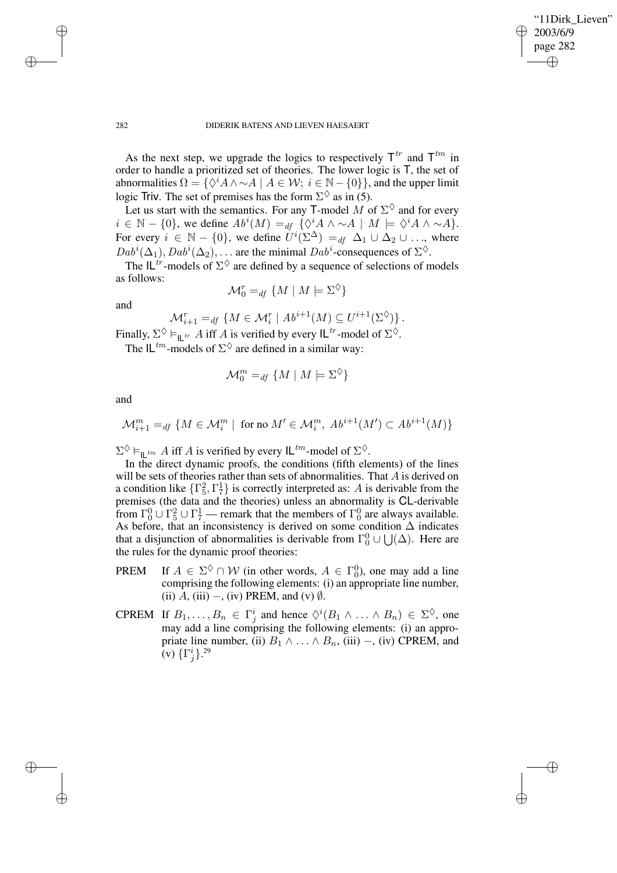✐

#### 282 DIDERIK BATENS AND LIEVEN HAESAERT

As the next step, we upgrade the logics to respectively  $T^{tr}$  and  $T^{tm}$  in order to handle a prioritized set of theories. The lower logic is T, the set of abnormalities  $\Omega = \{ \Diamond^i A \wedge \neg A \mid A \in \mathcal{W}; i \in \mathbb{N} - \{0\} \}$ , and the upper limit logic Triv. The set of premises has the form  $\Sigma^{\lozenge}$  as in (5).

Let us start with the semantics. For any T-model M of  $\Sigma^{\Diamond}$  and for every  $i \in \mathbb{N} - \{0\}$ , we define  $Ab^i(M) =_{df} {\sqrt{\langle \delta^i A \wedge \sim A \mid M \models \langle \delta^i A \wedge \sim A \rangle}}.$ For every  $i \in \mathbb{N} - \{0\}$ , we define  $U^{i}(\Sigma^{\Delta}) =_{df} \Delta_1 \cup \Delta_2 \cup ...$ , where  $Dab^i(\Delta_1), Dab^i(\Delta_2), \ldots$  are the minimal  $Dab^i$ -consequences of  $\Sigma^{\diamondsuit}$ .

The  $IL^{tr}$ -models of  $\Sigma^{\lozenge}$  are defined by a sequence of selections of models as follows:

$$
\mathcal{M}_0^r =_{df} \{ M \mid M \models \Sigma^\Diamond \}
$$

and

$$
\mathcal{M}_{i+1}^r =_{df} \{ M \in \mathcal{M}_i^r \mid Ab^{i+1}(M) \subseteq U^{i+1}(\Sigma^\lozenge) \}.
$$

Finally,  $\Sigma^{\diamondsuit} \vDash_{\mathsf{IL}^{tr}} A$  iff A is verified by every  $\mathsf{IL}^{tr}$ -model of  $\Sigma^{\diamondsuit}$ .

The  $IL^{tm}$ -models of  $\Sigma^{\diamondsuit}$  are defined in a similar way:

$$
\mathcal{M}_0^m =_{df} \{ M \mid M \models \Sigma^\Diamond \}
$$

and

$$
\mathcal{M}^m_{i+1} =_{df} \{ M \in \mathcal{M}^m_i \mid \text{ for no } M' \in \mathcal{M}^m_i, Ab^{i+1}(M') \subset Ab^{i+1}(M) \}
$$

 $\Sigma^{\Diamond} \models_{\mathsf{IL}^{tm}} A$  iff A is verified by every  $\mathsf{IL}^{tm}$ -model of  $\Sigma^{\Diamond}$ .

In the direct dynamic proofs, the conditions (fifth elements) of the lines will be sets of theories rather than sets of abnormalities. That A is derived on a condition like  $\{\Gamma_5^2, \Gamma_7^1\}$  is correctly interpreted as: A is derivable from the premises (the data and the theories) unless an abnormality is CL-derivable from  $\Gamma_0^0 \cup \Gamma_5^2 \cup \Gamma_7^1$  — remark that the members of  $\Gamma_0^0$  are always available. As before, that an inconsistency is derived on some condition ∆ indicates that a disjunction of abnormalities is derivable from  $\Gamma_0^0 \cup \bigcup_{i}(\Delta)$ . Here are the rules for the dynamic proof theories:

- **PREM** If  $A \in \Sigma^{\diamond} \cap \mathcal{W}$  (in other words,  $A \in \Gamma_0^0$ ), one may add a line comprising the following elements: (i) an appropriate line number, (ii)  $A$ , (iii) –, (iv) PREM, and (v)  $\emptyset$ .
- CPREM If  $B_1, \ldots, B_n \in \Gamma_j^i$  and hence  $\Diamond^i(B_1 \land \ldots \land B_n) \in \Sigma^\Diamond$ , one may add a line comprising the following elements: (i) an appropriate line number, (ii)  $B_1 \wedge \ldots \wedge B_n$ , (iii) –, (iv) CPREM, and (v)  $\{\Gamma_j^i\}$ .<sup>29</sup>

✐

✐

✐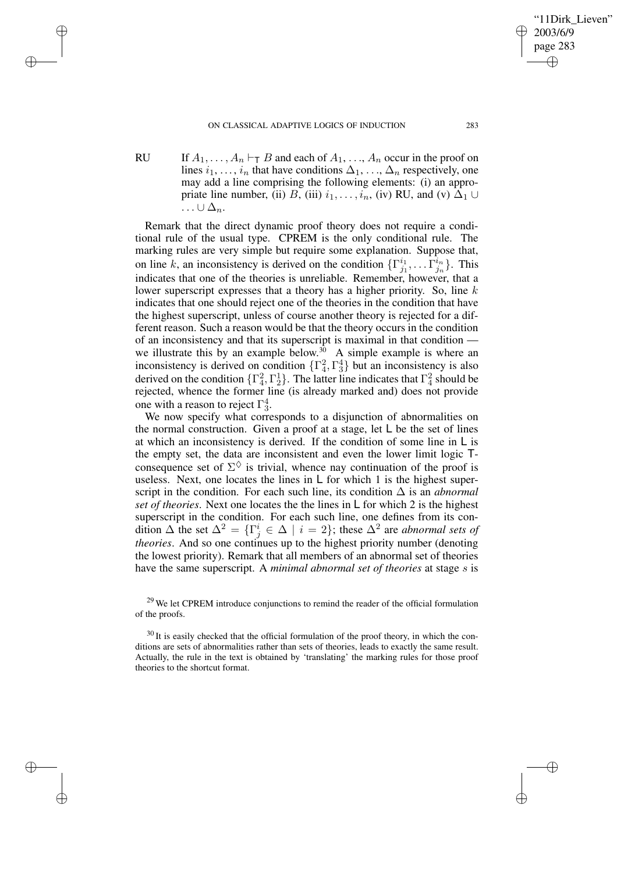✐

✐

✐

RU If  $A_1, \ldots, A_n \vdash_{\mathsf{T}} B$  and each of  $A_1, \ldots, A_n$  occur in the proof on lines  $i_1, \ldots, i_n$  that have conditions  $\Delta_1, \ldots, \Delta_n$  respectively, one may add a line comprising the following elements: (i) an appropriate line number, (ii) B, (iii)  $i_1, \ldots, i_n$ , (iv) RU, and (v)  $\Delta_1 \cup$  $\ldots \cup \Delta_n$ .

Remark that the direct dynamic proof theory does not require a conditional rule of the usual type. CPREM is the only conditional rule. The marking rules are very simple but require some explanation. Suppose that, on line k, an inconsistency is derived on the condition  $\{\Gamma_{i}^{i_1}\}$  $\frac{i_1}{j_1},\ldots \widehat{\Gamma^i_{j_n}}$  $_{j_{n}}^{\imath_{n}}$  }. This indicates that one of the theories is unreliable. Remember, however, that a lower superscript expresses that a theory has a higher priority. So, line  $k$ indicates that one should reject one of the theories in the condition that have the highest superscript, unless of course another theory is rejected for a different reason. Such a reason would be that the theory occurs in the condition of an inconsistency and that its superscript is maximal in that condition we illustrate this by an example below.<sup>30</sup> A simple example is where an inconsistency is derived on condition  $\{\Gamma_4^2, \Gamma_3^4\}$  but an inconsistency is also derived on the condition  $\{\Gamma_4^2, \Gamma_2^1\}$ . The latter line indicates that  $\Gamma_4^2$  should be rejected, whence the former line (is already marked and) does not provide one with a reason to reject  $\Gamma_3^4$ .

We now specify what corresponds to a disjunction of abnormalities on the normal construction. Given a proof at a stage, let  $\mathsf{L}$  be the set of lines at which an inconsistency is derived. If the condition of some line in  $\mathsf{L}$  is the empty set, the data are inconsistent and even the lower limit logic Tconsequence set of  $\Sigma^{\diamondsuit}$  is trivial, whence nay continuation of the proof is useless. Next, one locates the lines in L for which 1 is the highest superscript in the condition. For each such line, its condition ∆ is an *abnormal set of theories*. Next one locates the the lines in L for which 2 is the highest superscript in the condition. For each such line, one defines from its condition  $\Delta$  the set  $\Delta^2 = {\{\Gamma_j^i \in \Delta \mid i = 2\}}$ ; these  $\Delta^2$  are *abnormal sets of theories*. And so one continues up to the highest priority number (denoting the lowest priority). Remark that all members of an abnormal set of theories have the same superscript. A *minimal abnormal set of theories* at stage s is '11Dirk Lieven"

2003/6/9 page 283

✐

✐

✐

<sup>&</sup>lt;sup>29</sup> We let CPREM introduce conjunctions to remind the reader of the official formulation of the proofs.

<sup>&</sup>lt;sup>30</sup> It is easily checked that the official formulation of the proof theory, in which the conditions are sets of abnormalities rather than sets of theories, leads to exactly the same result. Actually, the rule in the text is obtained by 'translating' the marking rules for those proof theories to the shortcut format.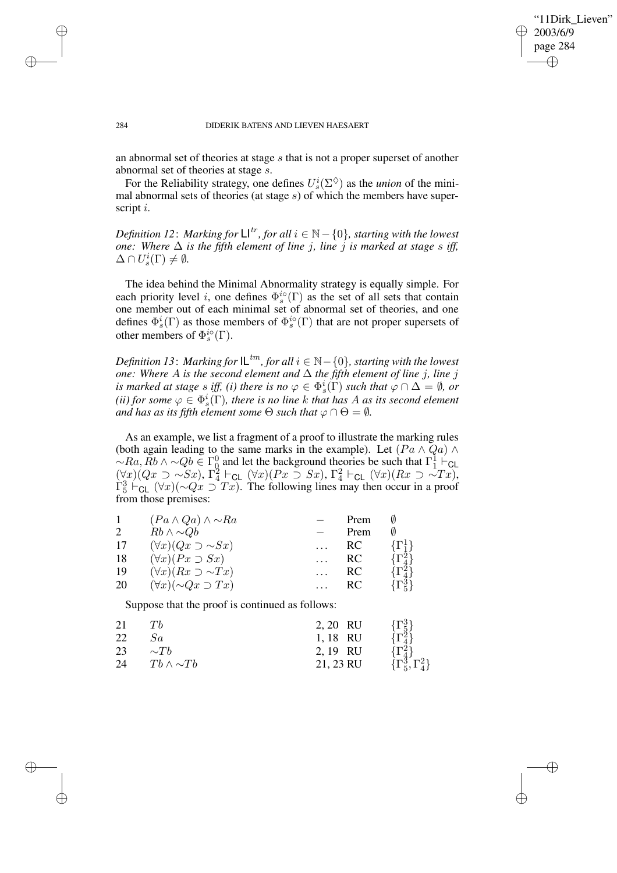✐

#### 284 DIDERIK BATENS AND LIEVEN HAESAERT

✐

✐

✐

✐

an abnormal set of theories at stage s that is not a proper superset of another abnormal set of theories at stage s.

For the Reliability strategy, one defines  $U_s^i(\Sigma^\diamond)$  as the *union* of the minimal abnormal sets of theories (at stage  $s$ ) of which the members have superscript i.

*Definition* 12: Marking for  $\mathsf{L} \mathsf{I}^{tr}$ , for all  $i \in \mathbb{N} - \{0\}$ , starting with the lowest *one:* Where  $\Delta$  *is the fifth element of line j, line j is marked at stage s iff,*  $\Delta \cap U_s^i(\Gamma) \neq \emptyset$ .

The idea behind the Minimal Abnormality strategy is equally simple. For each priority level i, one defines  $\Phi_s^{i\circ}(\Gamma)$  as the set of all sets that contain one member out of each minimal set of abnormal set of theories, and one defines  $\Phi_s^i(\Gamma)$  as those members of  $\Phi_s^{i\circ}(\Gamma)$  that are not proper supersets of other members of  $\Phi_s^{i\circ}(\Gamma)$ .

*Definition* 13: *Marking for*  $L^{tm}$ *, for all*  $i \in \mathbb{N} - \{0\}$ *, starting with the lowest one:* Where  $A$  *is the second element and*  $∆$  *the fifth element of line j, line j is* marked at stage  $s$  *iff,* (*i*) there is no  $\varphi \in \Phi_s^i(\Gamma)$  such that  $\varphi \cap \Delta = \emptyset$ , or (*ii*) *for some*  $\varphi \in \Phi_s^i(\Gamma)$ *, there is no line k that has A as its second element and has as its fifth element some*  $\Theta$  *such that*  $\varphi \cap \Theta = \emptyset$ *.* 

As an example, we list a fragment of a proof to illustrate the marking rules (both again leading to the same marks in the example). Let  $(Pa \wedge Qa) \wedge$  $\sim$ Ra,  $\tilde{R}b \wedge \sim Qb \in \Gamma^0_Q$  and let the background theories be such that  $\Gamma^1_1 \vdash_{\text{CL}}$  $(\forall x)(Qx \supset \sim Sx), \Gamma_4^2 \vdash_{\mathsf{CL}} (\forall x)(Px \supset Sx), \Gamma_4^2 \vdash_{\mathsf{CL}} (\forall x)(Rx \supset \sim Tx),$  $\Gamma_5^3$   $\vdash$  CL ( $\forall x$ )(∼ $Qx \supset Tx$ ). The following lines may then occur in a proof from those premises:

| 1  | $(Pa \wedge Qa) \wedge \sim Ra$   | Prem |                  |
|----|-----------------------------------|------|------------------|
| 2  | $Rb \wedge \sim Qb$               | Prem |                  |
| 17 | $(\forall x)(Qx \supset \sim Sx)$ | RC   | $\{\Gamma^1_i\}$ |
| 18 | $(\forall x)(Px \supset Sx)$      | RC   | $\{\Gamma_4^2\}$ |
| 19 | $(\forall x)(Rx \supset \sim Tx)$ | RC   | $\{\Gamma_4^2\}$ |
| 20 | $(\forall x)(\sim Qx \supset Tx)$ | RC   | $\{\Gamma_5^3\}$ |

Suppose that the proof is continued as follows:

| 21 | Ŧħ                  | 2, 20 RU  | $\{\Gamma_5^3\}$                                  |
|----|---------------------|-----------|---------------------------------------------------|
| 22 | Sa                  | 1,18 RU   | $\{\Gamma_4^3\}$                                  |
| 23 | $\sim Th$           | 2, 19 RU  |                                                   |
| 24 | $Tb \wedge \sim Tb$ | 21, 23 RU | $\{\Gamma_4^{\bar{2}}\}\{\Gamma_5^3,\Gamma_4^2\}$ |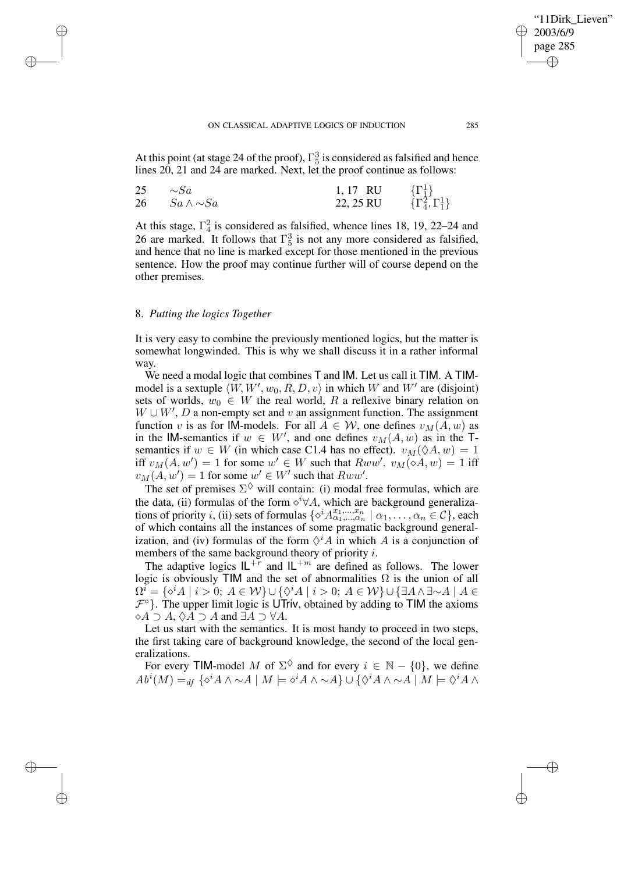#### ON CLASSICAL ADAPTIVE LOGICS OF INDUCTION 285

At this point (at stage 24 of the proof),  $\Gamma_5^3$  is considered as falsified and hence lines 20, 21 and 24 are marked. Next, let the proof continue as follows:

| 25 | $\sim$ Sa              | 1,17 RU   |                                                                            |
|----|------------------------|-----------|----------------------------------------------------------------------------|
|    | 26 $Sa \wedge \sim Sa$ | 22, 25 RU | $\left\{ \Gamma_1^1 \right\}$<br>$\left\{ \Gamma_4^2, \Gamma_1^1 \right\}$ |

At this stage,  $\Gamma_4^2$  is considered as falsified, whence lines 18, 19, 22–24 and 26 are marked. It follows that  $\Gamma_5^3$  is not any more considered as falsified, and hence that no line is marked except for those mentioned in the previous sentence. How the proof may continue further will of course depend on the other premises.

## 8. *Putting the logics Together*

✐

✐

✐

✐

It is very easy to combine the previously mentioned logics, but the matter is somewhat longwinded. This is why we shall discuss it in a rather informal way.

We need a modal logic that combines T and IM. Let us call it TIM. A TIMmodel is a sextuple  $\langle W, W', w_0, R, D, v \rangle$  in which W and W' are (disjoint) sets of worlds,  $w_0 \in W$  the real world, R a reflexive binary relation on  $W \cup W'$ , D a non-empty set and v an assignment function. The assignment function v is as for IM-models. For all  $A \in W$ , one defines  $v_M(A, w)$  as in the IM-semantics if  $w \in W'$ , and one defines  $v_M(A, w)$  as in the Tsemantics if  $w \in W$  (in which case C1.4 has no effect).  $v_M(\Diamond A, w) = 1$ iff  $v_M(A, w') = 1$  for some  $w' \in W$  such that  $Rww'$ .  $v_M(\diamond A, w) = 1$  iff  $v_M(A, w') = 1$  for some  $w' \in W'$  such that  $Rww'$ .

The set of premises  $\Sigma^{\diamondsuit}$  will contain: (i) modal free formulas, which are the data, (ii) formulas of the form  $\diamond^{i} \forall A$ , which are background generalizations of priority i, (ii) sets of formulas  $\{\diamond^{i} A^{x_1,...,x_n}_{\alpha_1,...,\alpha_n} \mid \alpha_1,..., \alpha_n \in \mathcal{C}\}$ , each of which contains all the instances of some pragmatic background generalization, and (iv) formulas of the form  $\Diamond^i A$  in which A is a conjunction of members of the same background theory of priority i.

The adaptive logics  $IL^{+r}$  and  $IL^{+m}$  are defined as follows. The lower logic is obviously TIM and the set of abnormalities  $\Omega$  is the union of all  $\Omega^i = \{\diamond^i A \mid i > 0;\ A \in \mathcal{W}\} \cup \{\diamond^i A \mid i > 0;\ A \in \mathcal{W}\} \cup \{\exists A \wedge \exists \sim A \mid A \in \mathcal{W}\}$  $\mathcal{F}^{\circ}$ . The upper limit logic is UTriv, obtained by adding to TIM the axioms  $\Diamond A \supset A$ ,  $\Diamond A \supset A$  and  $\exists A \supset \forall A$ .

Let us start with the semantics. It is most handy to proceed in two steps, the first taking care of background knowledge, the second of the local generalizations.

For every TIM-model M of  $\Sigma^{\diamondsuit}$  and for every  $i \in \mathbb{N} - \{0\}$ , we define  $Ab^{i}(M) =_{df} \{ \diamond^{i} A \wedge \sim A \mid M \models \diamond^{i} A \wedge \sim A \} \cup \{ \diamond^{i} A \wedge \sim A \mid M \models \diamond^{i} A \wedge \sim A \}$ 

'11Dirk Lieven"

2003/6/9 page 285

✐

✐

✐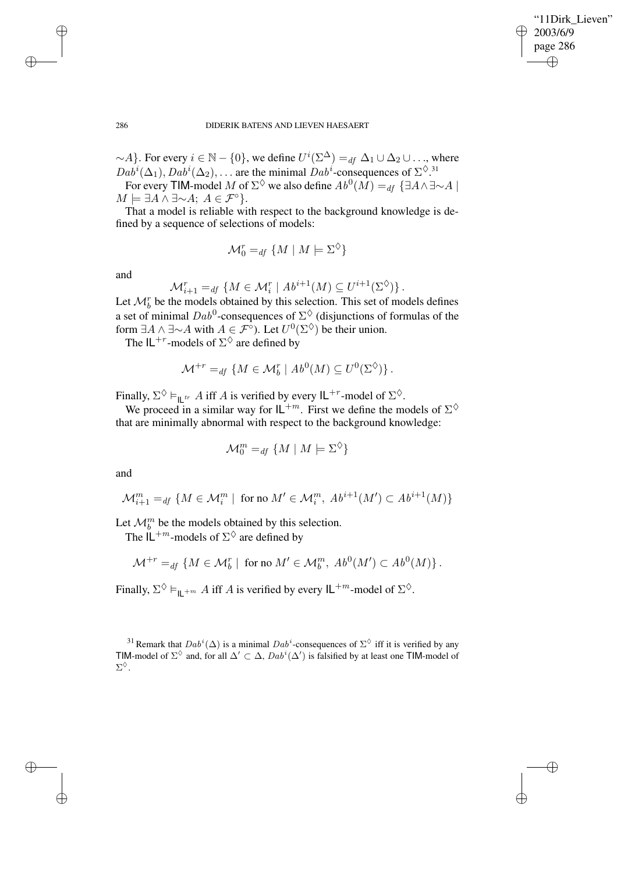✐

### 286 DIDERIK BATENS AND LIEVEN HAESAERT

 $\sim$ A}. For every  $i \in \mathbb{N} - \{0\}$ , we define  $U^{i}(\Sigma^{\Delta}) =_{df} \Delta_1 \cup \Delta_2 \cup ...$ , where  $Dab^i(\Delta_1), Dab^i(\Delta_2), \ldots$  are the minimal  $Dab^i$ -consequences of  $\Sigma^{\diamondsuit}$ .<sup>31</sup>

For every TIM-model M of  $\Sigma^{\Diamond}$  we also define  $Ab^0(M) =_{df} {\exists A \wedge \exists \sim A \mid \Box}$  $M \models \exists A \land \exists \sim A; A \in \mathcal{F}^{\circ}$ .

That a model is reliable with respect to the background knowledge is defined by a sequence of selections of models:

$$
\mathcal{M}_0^r =_{df} \{ M \mid M \models \Sigma^\Diamond \}
$$

and

$$
\mathcal{M}_{i+1}^r =_{df} \{ M \in \mathcal{M}_i^r \mid Ab^{i+1}(M) \subseteq U^{i+1}(\Sigma^\lozenge) \}.
$$

Let  $\mathcal{M}_{b}^{r}$  be the models obtained by this selection. This set of models defines a set of minimal  $Dab^0$ -consequences of  $\Sigma^{\Diamond}$  (disjunctions of formulas of the form  $\exists A \wedge \exists \sim A$  with  $A \in \mathcal{F}^{\circ}$ ). Let  $U^0(\Sigma^{\diamondsuit})$  be their union.

The  $IL^{+r}$ -models of  $\Sigma^{\diamondsuit}$  are defined by

$$
\mathcal{M}^{+r} =_{df} \{ M \in \mathcal{M}_b^r \mid Ab^0(M) \subseteq U^0(\Sigma^{\diamondsuit}) \}.
$$

Finally,  $\Sigma^{\diamondsuit} \vDash_{\mathsf{IL}^{tr}} A$  iff A is verified by every  $\mathsf{IL}^{+r}$ -model of  $\Sigma^{\diamondsuit}$ .

We proceed in a similar way for  $IL^{+m}$ . First we define the models of  $\Sigma^{\diamondsuit}$ that are minimally abnormal with respect to the background knowledge:

$$
\mathcal{M}_0^m =_{df} \{ M \mid M \models \Sigma^\Diamond \}
$$

and

$$
\mathcal{M}^m_{i+1} =_{df} \{ M \in \mathcal{M}^m_i \mid \text{ for no } M' \in \mathcal{M}^m_i, Ab^{i+1}(M') \subset Ab^{i+1}(M) \}
$$

Let  $\mathcal{M}_b^m$  be the models obtained by this selection.

The  $\mathsf{IL}^{+m}$ -models of  $\Sigma^{\lozenge}$  are defined by

$$
\mathcal{M}^{+r} =_{df} \{ M \in \mathcal{M}_b^r \mid \text{ for no } M' \in \mathcal{M}_b^m, \ Ab^0(M') \subset Ab^0(M) \}.
$$

Finally,  $\Sigma^{\diamondsuit} \vDash_{\mathsf{IL}^{+m}} A$  iff A is verified by every  $\mathsf{IL}^{+m}$ -model of  $\Sigma^{\diamondsuit}$ .

✐

✐

✐

<sup>&</sup>lt;sup>31</sup> Remark that  $Dab^i(\Delta)$  is a minimal  $Dab^i$ -consequences of  $\Sigma^{\Diamond}$  iff it is verified by any TIM-model of  $\Sigma^{\Diamond}$  and, for all  $\Delta' \subset \Delta$ ,  $Dab^i(\Delta')$  is falsified by at least one TIM-model of  $\Sigma^{\Diamond}.$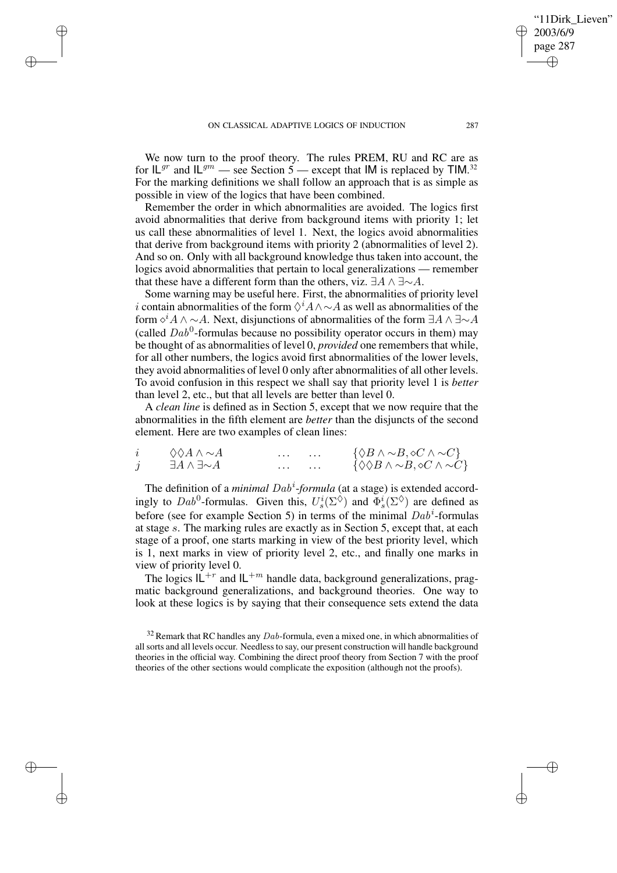✐

✐

✐

We now turn to the proof theory. The rules PREM, RU and RC are as for  $IL^{gr}$  and  $IL^{gm}$  — see Section 5 — except that IM is replaced by TIM.<sup>32</sup> For the marking definitions we shall follow an approach that is as simple as possible in view of the logics that have been combined.

Remember the order in which abnormalities are avoided. The logics first avoid abnormalities that derive from background items with priority 1; let us call these abnormalities of level 1. Next, the logics avoid abnormalities that derive from background items with priority 2 (abnormalities of level 2). And so on. Only with all background knowledge thus taken into account, the logics avoid abnormalities that pertain to local generalizations — remember that these have a different form than the others, viz.  $\exists A \land \exists \sim A$ .

Some warning may be useful here. First, the abnormalities of priority level i contain abnormalities of the form  $\Diamond^i A \wedge \neg A$  as well as abnormalities of the form  $\circ^i A \wedge \sim A$ . Next, disjunctions of abnormalities of the form  $\exists A \wedge \exists \sim A$ (called  $Dab^0$ -formulas because no possibility operator occurs in them) may be thought of as abnormalities of level 0, *provided* one remembers that while, for all other numbers, the logics avoid first abnormalities of the lower levels, they avoid abnormalities of level 0 only after abnormalities of all other levels. To avoid confusion in this respect we shall say that priority level 1 is *better* than level 2, etc., but that all levels are better than level 0.

A *clean line* is defined as in Section 5, except that we now require that the abnormalities in the fifth element are *better* than the disjuncts of the second element. Here are two examples of clean lines:

| $\Diamond \Diamond A \land \sim A$ |  | $\{\Diamond B \land \sim B, \diamond C \land \sim C\}$          |
|------------------------------------|--|-----------------------------------------------------------------|
| $\exists A \wedge \exists \sim A$  |  | $\{\Diamond \Diamond B \land \sim B, \Diamond C \land \sim C\}$ |

The definition of a *minimal Dab<sup>i</sup>-formula* (at a stage) is extended accordingly to  $Dab^0$ -formulas. Given this,  $U_s^i(\Sigma^{\diamondsuit})$  and  $\Phi_s^i(\Sigma^{\diamondsuit})$  are defined as before (see for example Section 5) in terms of the minimal  $Dab^i$ -formulas at stage s. The marking rules are exactly as in Section 5, except that, at each stage of a proof, one starts marking in view of the best priority level, which is 1, next marks in view of priority level 2, etc., and finally one marks in view of priority level 0.

The logics  $\mathbf{L}^{+r}$  and  $\mathbf{L}^{+m}$  handle data, background generalizations, pragmatic background generalizations, and background theories. One way to look at these logics is by saying that their consequence sets extend the data

'11Dirk Lieven"

2003/6/9 page 287

✐

✐

✐

 $32$  Remark that RC handles any  $Dab$ -formula, even a mixed one, in which abnormalities of all sorts and all levels occur. Needless to say, our present construction will handle background theories in the official way. Combining the direct proof theory from Section 7 with the proof theories of the other sections would complicate the exposition (although not the proofs).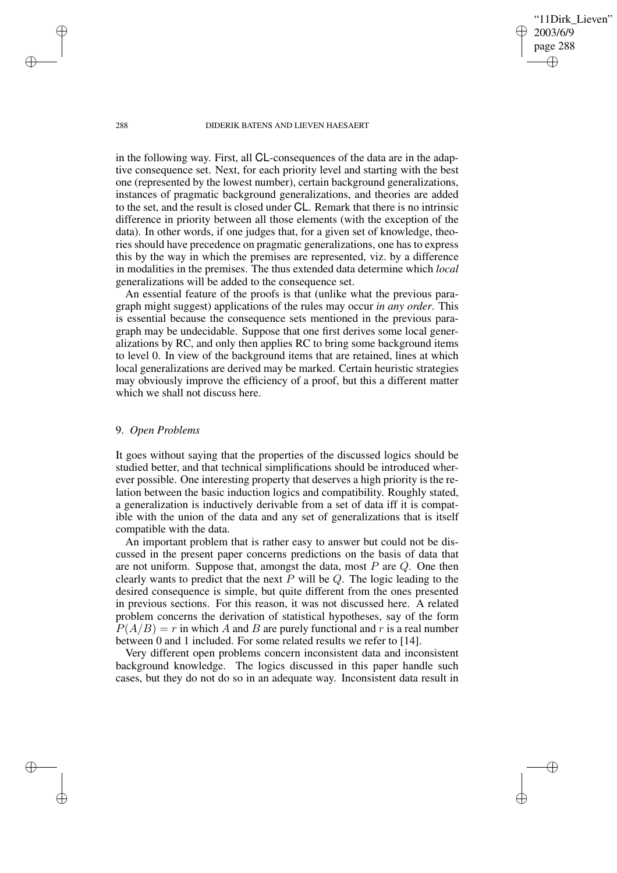288 DIDERIK BATENS AND LIEVEN HAESAERT

'11Dirk Lieven"

2003/6/9 page 288

✐

✐

✐

✐

in the following way. First, all CL-consequences of the data are in the adaptive consequence set. Next, for each priority level and starting with the best one (represented by the lowest number), certain background generalizations, instances of pragmatic background generalizations, and theories are added to the set, and the result is closed under CL. Remark that there is no intrinsic difference in priority between all those elements (with the exception of the data). In other words, if one judges that, for a given set of knowledge, theories should have precedence on pragmatic generalizations, one has to express this by the way in which the premises are represented, viz. by a difference in modalities in the premises. The thus extended data determine which *local* generalizations will be added to the consequence set.

An essential feature of the proofs is that (unlike what the previous paragraph might suggest) applications of the rules may occur *in any order*. This is essential because the consequence sets mentioned in the previous paragraph may be undecidable. Suppose that one first derives some local generalizations by RC, and only then applies RC to bring some background items to level 0. In view of the background items that are retained, lines at which local generalizations are derived may be marked. Certain heuristic strategies may obviously improve the efficiency of a proof, but this a different matter which we shall not discuss here.

## 9. *Open Problems*

It goes without saying that the properties of the discussed logics should be studied better, and that technical simplifications should be introduced wherever possible. One interesting property that deserves a high priority is the relation between the basic induction logics and compatibility. Roughly stated, a generalization is inductively derivable from a set of data iff it is compatible with the union of the data and any set of generalizations that is itself compatible with the data.

An important problem that is rather easy to answer but could not be discussed in the present paper concerns predictions on the basis of data that are not uniform. Suppose that, amongst the data, most  $P$  are  $Q$ . One then clearly wants to predict that the next  $P$  will be  $Q$ . The logic leading to the desired consequence is simple, but quite different from the ones presented in previous sections. For this reason, it was not discussed here. A related problem concerns the derivation of statistical hypotheses, say of the form  $P(A/B) = r$  in which A and B are purely functional and r is a real number between 0 and 1 included. For some related results we refer to [14].

Very different open problems concern inconsistent data and inconsistent background knowledge. The logics discussed in this paper handle such cases, but they do not do so in an adequate way. Inconsistent data result in

✐

✐

✐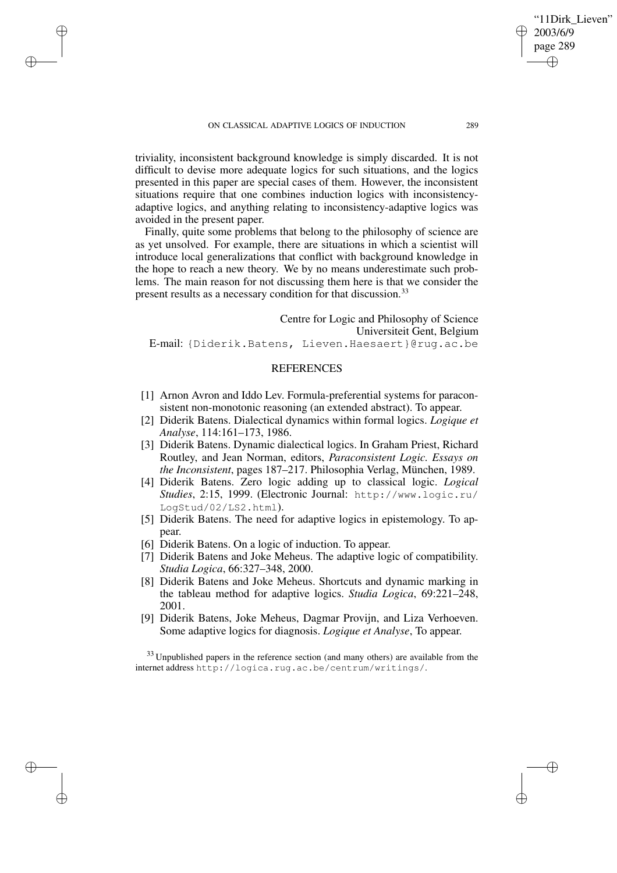✐

✐

✐

triviality, inconsistent background knowledge is simply discarded. It is not difficult to devise more adequate logics for such situations, and the logics presented in this paper are special cases of them. However, the inconsistent situations require that one combines induction logics with inconsistencyadaptive logics, and anything relating to inconsistency-adaptive logics was avoided in the present paper.

Finally, quite some problems that belong to the philosophy of science are as yet unsolved. For example, there are situations in which a scientist will introduce local generalizations that conflict with background knowledge in the hope to reach a new theory. We by no means underestimate such problems. The main reason for not discussing them here is that we consider the present results as a necessary condition for that discussion.<sup>33</sup>

Centre for Logic and Philosophy of Science Universiteit Gent, Belgium E-mail: {Diderik.Batens, Lieven.Haesaert}@rug.ac.be

# REFERENCES

- [1] Arnon Avron and Iddo Lev. Formula-preferential systems for paraconsistent non-monotonic reasoning (an extended abstract). To appear.
- [2] Diderik Batens. Dialectical dynamics within formal logics. *Logique et Analyse*, 114:161–173, 1986.
- [3] Diderik Batens. Dynamic dialectical logics. In Graham Priest, Richard Routley, and Jean Norman, editors, *Paraconsistent Logic. Essays on the Inconsistent*, pages 187–217. Philosophia Verlag, München, 1989.
- [4] Diderik Batens. Zero logic adding up to classical logic. *Logical Studies*, 2:15, 1999. (Electronic Journal: http://www.logic.ru/ LogStud/02/LS2.html).
- [5] Diderik Batens. The need for adaptive logics in epistemology. To appear.
- [6] Diderik Batens. On a logic of induction. To appear.
- [7] Diderik Batens and Joke Meheus. The adaptive logic of compatibility. *Studia Logica*, 66:327–348, 2000.
- [8] Diderik Batens and Joke Meheus. Shortcuts and dynamic marking in the tableau method for adaptive logics. *Studia Logica*, 69:221–248, 2001.
- [9] Diderik Batens, Joke Meheus, Dagmar Provijn, and Liza Verhoeven. Some adaptive logics for diagnosis. *Logique et Analyse*, To appear.

<sup>33</sup> Unpublished papers in the reference section (and many others) are available from the internet address http://logica.rug.ac.be/centrum/writings/.

'11Dirk Lieven"

2003/6/9 page 289

✐

✐

✐